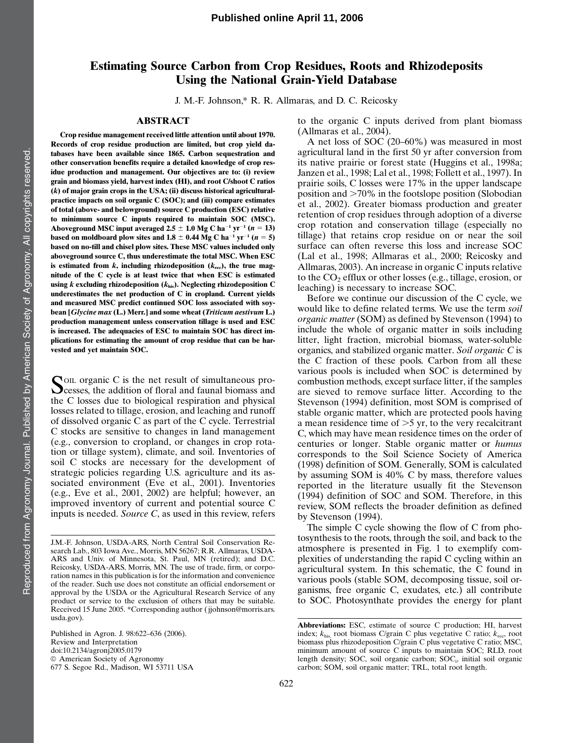# Estimating Source Carbon from Crop Residues, Roots and Rhizodeposits Using the National Grain-Yield Database

J. M.-F. Johnson,\* R. R. Allmaras, and D. C. Reicosky

# ABSTRACT

Crop residue management received little attention until about 1970. Records of crop residue production are limited, but crop yield databases have been available since 1865. Carbon sequestration and other conservation benefits require a detailed knowledge of crop residue production and management. Our objectives are to: (i) review grain and biomass yield, harvest index (HI), and root C/shoot C ratios  $(k)$  of major grain crops in the USA; (ii) discuss historical agriculturalpractice impacts on soil organic C (SOC); and (iii) compare estimates of total (above- and belowground) source C production (ESC) relative to minimum source C inputs required to maintain SOC (MSC). Aboveground MSC input averaged 2.5  $\pm$  1.0 Mg C ha<sup>-1</sup> yr<sup>-1</sup> (n = 13) based on moldboard plow sites and  $1.8 \pm 0.44$  Mg C ha<sup>-1</sup> yr<sup>-1</sup> (n = 5) based on no-till and chisel plow sites. These MSC values included only aboveground source C, thus underestimate the total MSC. When ESC is estimated from  $k$ , including rhizodeposition  $(k_{\text{rec}})$ , the true magnitude of the C cycle is at least twice that when ESC is estimated using  $k$  excluding rhizodeposition ( $k_{\text{his}}$ ). Neglecting rhizodeposition C underestimates the net production of C in cropland. Current yields and measured MSC predict continued SOC loss associated with soybean [Glycine max (L.) Merr.] and some wheat (Triticum aestivum L.) production management unless conservation tillage is used and ESC is increased. The adequacies of ESC to maintain SOC has direct implications for estimating the amount of crop residue that can be harvested and yet maintain SOC.

SOIL organic C is the net result of simultaneous pro-<br>cesses, the addition of floral and faunal biomass and the C losses due to biological respiration and physical losses related to tillage, erosion, and leaching and runoff of dissolved organic C as part of the C cycle. Terrestrial C stocks are sensitive to changes in land management (e.g., conversion to cropland, or changes in crop rotation or tillage system), climate, and soil. Inventories of soil C stocks are necessary for the development of strategic policies regarding U.S. agriculture and its associated environment (Eve et al., 2001). Inventories (e.g., Eve et al., 2001, 2002) are helpful; however, an improved inventory of current and potential source C inputs is needed. Source C, as used in this review, refers

to the organic C inputs derived from plant biomass (Allmaras et al., 2004).

A net loss of SOC (20–60%) was measured in most agricultural land in the first 50 yr after conversion from its native prairie or forest state (Huggins et al., 1998a; Janzen et al., 1998; Lal et al., 1998; Follett et al., 1997). In prairie soils, C losses were 17% in the upper landscape position and  $>70\%$  in the footslope position (Slobodian et al., 2002). Greater biomass production and greater retention of crop residues through adoption of a diverse crop rotation and conservation tillage (especially no tillage) that retains crop residue on or near the soil surface can often reverse this loss and increase SOC (Lal et al., 1998; Allmaras et al., 2000; Reicosky and Allmaras, 2003). An increase in organic C inputs relative to the  $CO<sub>2</sub>$  efflux or other losses (e.g., tillage, erosion, or leaching) is necessary to increase SOC.

Before we continue our discussion of the C cycle, we would like to define related terms. We use the term soil organic matter (SOM) as defined by Stevenson (1994) to include the whole of organic matter in soils including litter, light fraction, microbial biomass, water-soluble organics, and stabilized organic matter. Soil organic C is the C fraction of these pools. Carbon from all these various pools is included when SOC is determined by combustion methods, except surface litter, if the samples are sieved to remove surface litter. According to the Stevenson (1994) definition, most SOM is comprised of stable organic matter, which are protected pools having a mean residence time of  $>5$  yr, to the very recalcitrant C, which may have mean residence times on the order of centuries or longer. Stable organic matter or humus corresponds to the Soil Science Society of America (1998) definition of SOM. Generally, SOM is calculated by assuming SOM is 40% C by mass, therefore values reported in the literature usually fit the Stevenson (1994) definition of SOC and SOM. Therefore, in this review, SOM reflects the broader definition as defined by Stevenson (1994).

The simple C cycle showing the flow of C from photosynthesis to the roots, through the soil, and back to the atmosphere is presented in Fig. 1 to exemplify complexities of understanding the rapid C cycling within an agricultural system. In this schematic, the C found in various pools (stable SOM, decomposing tissue, soil organisms, free organic C, exudates, etc.) all contribute to SOC. Photosynthate provides the energy for plant

J.M.-F. Johnson, USDA-ARS, North Central Soil Conservation Research Lab., 803 Iowa Ave., Morris, MN 56267; R.R. Allmaras, USDA-ARS and Univ. of Minnesota, St. Paul, MN (retired); and D.C. Reicosky, USDA-ARS, Morris, MN. The use of trade, firm, or corporation names in this publication is for the information and convenience of the reader. Such use does not constitute an official endorsement or approval by the USDA or the Agricultural Research Service of any product or service to the exclusion of others that may be suitable. Received 15 June 2005. \*Corresponding author (jjohnson@morris.ars. usda.gov).

Published in Agron. J. 98:622–636 (2006). Review and Interpretation doi:10.2134/agronj2005.0179  $@$  American Society of Agronomy 677 S. Segoe Rd., Madison, WI 53711 USA

Abbreviations: ESC, estimate of source C production; HI, harvest index;  $k_{\text{his}}$ , root biomass C/grain C plus vegetative C ratio;  $k_{\text{rec}}$ , root biomass plus rhizodeposition C/grain C plus vegetative C ratio; MSC, minimum amount of source C inputs to maintain SOC; RLD, root length density; SOC, soil organic carbon; SOC<sub>i</sub>, initial soil organic carbon; SOM, soil organic matter; TRL, total root length.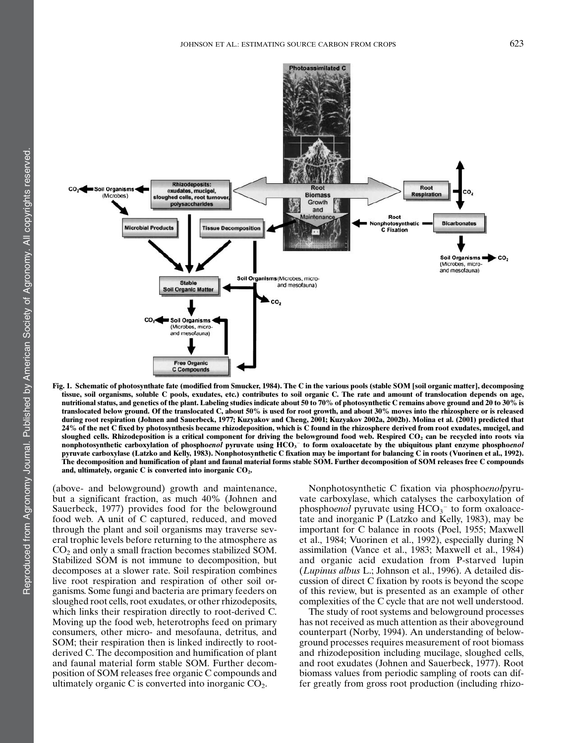

Fig. 1. Schematic of photosynthate fate (modified from Smucker, 1984). The C in the various pools (stable SOM [soil organic matter], decomposing tissue, soil organisms, soluble C pools, exudates, etc.) contributes to soil organic C. The rate and amount of translocation depends on age, nutritional status, and genetics of the plant. Labeling studies indicate about 50 to 70% of photosynthetic C remains above ground and 20 to 30% is translocated below ground. Of the translocated C, about 50% is used for root growth, and about 30% moves into the rhizosphere or is released during root respiration (Johnen and Sauerbeck, 1977; Kuzyakov and Cheng, 2001; Kuzyakov 2002a, 2002b). Molina et al. (2001) predicted that 24% of the net C fixed by photosynthesis became rhizodeposition, which is C found in the rhizosphere derived from root exudates, mucigel, and sloughed cells. Rhizodeposition is a critical component for driving the belowground food web. Respired  $CO<sub>2</sub>$  can be recycled into roots via nonphotosynthetic carboxylation of phospho*enol* pyruvate using HCO<sub>3</sub> to form oxaloacetate by the ubiquitous plant enzyme phospho*enol* pyruvate carboxylase (Latzko and Kelly, 1983). Nonphotosynthetic C fixation may be important for balancing C in roots (Vuorinen et al., 1992). The decomposition and humification of plant and faunal material forms stable SOM. Further decomposition of SOM releases free C compounds and, ultimately, organic  $C$  is converted into inorganic  $CO<sub>2</sub>$ .

(above- and belowground) growth and maintenance, but a significant fraction, as much 40% (Johnen and Sauerbeck, 1977) provides food for the belowground food web. A unit of C captured, reduced, and moved through the plant and soil organisms may traverse several trophic levels before returning to the atmosphere as  $CO<sub>2</sub>$  and only a small fraction becomes stabilized SOM. Stabilized SOM is not immune to decomposition, but decomposes at a slower rate. Soil respiration combines live root respiration and respiration of other soil organisms. Some fungi and bacteria are primary feeders on sloughed root cells, root exudates, or other rhizodeposits, which links their respiration directly to root-derived C. Moving up the food web, heterotrophs feed on primary consumers, other micro- and mesofauna, detritus, and SOM; their respiration then is linked indirectly to rootderived C. The decomposition and humification of plant and faunal material form stable SOM. Further decomposition of SOM releases free organic C compounds and ultimately organic C is converted into inorganic  $CO<sub>2</sub>$ .

Nonphotosynthetic C fixation via phosphoenolpyruvate carboxylase, which catalyses the carboxylation of phosphoenol pyruvate using  $HCO_3^-$  to form oxaloacetate and inorganic P (Latzko and Kelly, 1983), may be important for C balance in roots (Poel, 1955; Maxwell et al., 1984; Vuorinen et al., 1992), especially during N assimilation (Vance et al., 1983; Maxwell et al., 1984) and organic acid exudation from P-starved lupin (Lupinus albus L.; Johnson et al., 1996). A detailed discussion of direct C fixation by roots is beyond the scope of this review, but is presented as an example of other complexities of the C cycle that are not well understood.

The study of root systems and belowground processes has not received as much attention as their aboveground counterpart (Norby, 1994). An understanding of belowground processes requires measurement of root biomass and rhizodeposition including mucilage, sloughed cells, and root exudates (Johnen and Sauerbeck, 1977). Root biomass values from periodic sampling of roots can differ greatly from gross root production (including rhizo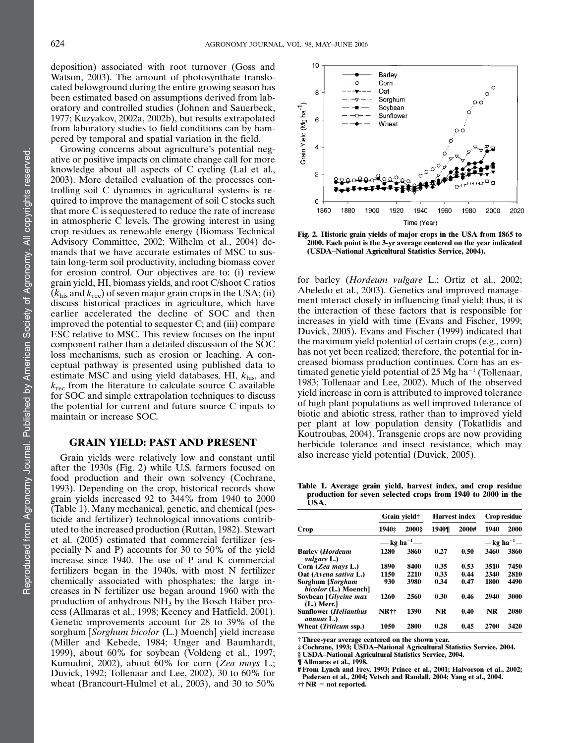deposition) associated with root turnover (Goss and Watson, 2003). The amount of photosynthate translocated belowground during the entire growing season has been estimated based on assumptions derived from laboratory and controlled studies (Johnen and Sauerbeck, 1977; Kuzyakov, 2002a, 2002b), but results extrapolated from laboratory studies to field conditions can by hampered by temporal and spatial variation in the field.

Growing concerns about agriculture's potential negative or positive impacts on climate change call for more knowledge about all aspects of C cycling (Lal et al., 2003). More detailed evaluation of the processes controlling soil C dynamics in agricultural systems is required to improve the management of soil C stocks such that more C is sequestered to reduce the rate of increase in atmospheric  $\overline{C}$  levels. The growing interest in using crop residues as renewable energy (Biomass Technical Advisory Committee, 2002; Wilhelm et al., 2004) demands that we have accurate estimates of MSC to sustain long-term soil productivity, including biomass cover for erosion control. Our objectives are to: (i) review grain yield, HI, biomass yields, and root C/shoot C ratios  $(k<sub>his</sub>$  and  $k<sub>rec</sub>$ ) of seven major grain crops in the USA; (ii) discuss historical practices in agriculture, which have earlier accelerated the decline of SOC and then improved the potential to sequester C; and (iii) compare ESC relative to MSC. This review focuses on the input component rather than a detailed discussion of the SOC loss mechanisms, such as erosion or leaching. A conceptual pathway is presented using published data to estimate MSC and using yield databases, HI,  $k_{\text{his}}$ , and  $k_{\text{rec}}$  from the literature to calculate source C available for SOC and simple extrapolation techniques to discuss the potential for current and future source C inputs to maintain or increase SOC.

# GRAIN YIELD: PAST AND PRESENT

Grain yields were relatively low and constant until after the 1930s (Fig. 2) while U.S. farmers focused on food production and their own solvency (Cochrane, 1993). Depending on the crop, historical records show grain yields increased 92 to 344% from 1940 to 2000 (Table 1). Many mechanical, genetic, and chemical (pesticide and fertilizer) technological innovations contributed to the increased production (Ruttan, 1982). Stewart et al. (2005) estimated that commercial fertilizer (especially N and P) accounts for 30 to 50% of the yield increase since 1940. The use of P and K commercial fertilizers began in the 1940s, with most N fertilizer chemically associated with phosphates; the large increases in N fertilizer use began around 1960 with the production of anhydrous  $NH<sub>3</sub>$  by the Bosch Háber process (Allmaras et al., 1998; Keeney and Hatfield, 2001). Genetic improvements account for 28 to 39% of the sorghum [Sorghum bicolor (L.) Moench] yield increase (Miller and Kebede, 1984; Unger and Baumhardt, 1999), about 60% for soybean (Voldeng et al., 1997; Kumudini, 2002), about 60% for corn (Zea mays L.; Duvick, 1992; Tollenaar and Lee, 2002), 30 to 60% for wheat (Brancourt-Hulmel et al., 2003), and 30 to 50%



Fig. 2. Historic grain yields of major crops in the USA from 1865 to 2000. Each point is the 3-yr average centered on the year indicated (USDA–National Agricultural Statistics Service, 2004).

for barley (Hordeum vulgare L.; Ortiz et al., 2002; Abeledo et al., 2003). Genetics and improved management interact closely in influencing final yield; thus, it is the interaction of these factors that is responsible for increases in yield with time (Evans and Fischer, 1999; Duvick, 2005). Evans and Fischer (1999) indicated that the maximum yield potential of certain crops (e.g., corn) has not yet been realized; therefore, the potential for increased biomass production continues. Corn has an estimated genetic yield potential of  $25$  Mg ha<sup>-1</sup> (Tollenaar, 1983; Tollenaar and Lee, 2002). Much of the observed yield increase in corn is attributed to improved tolerance of high plant populations as well improved tolerance of biotic and abiotic stress, rather than to improved yield per plant at low population density (Tokatlidis and Koutroubas, 2004). Transgenic crops are now providing herbicide tolerance and insect resistance, which may also increase yield potential (Duvick, 2005).

Table 1. Average grain yield, harvest index, and crop residue production for seven selected crops from 1940 to 2000 in the USA.

|                                                      |       | Grain yield†            |       | <b>Harvest index</b> | Crop residue                    |      |
|------------------------------------------------------|-------|-------------------------|-------|----------------------|---------------------------------|------|
| Crop                                                 | 1940‡ | <b>2000</b> §           | 1940¶ | 2000#                | 1940                            | 2000 |
|                                                      |       | — kg ha <sup>-1</sup> — |       |                      | $-\text{kg}$ ha <sup>-1</sup> - |      |
| <b>Barley</b> ( <i>Hordeum</i><br><i>vulgare L.)</i> | 1280  | 3860                    | 0.27  | 0.50                 | 3460                            | 3860 |
| Corn (Zea mays L.)                                   | 1890  | 8400                    | 0.35  | 0.53                 | 3510                            | 7450 |
| Oat (Avena sativa L.)                                | 1150  | 2210                    | 0.33  | 0.44                 | 2340                            | 2810 |
| Sorghum [Sorghum<br><i>bicolor</i> (L.) Moench]      | 930   | 3980                    | 0.34  | 0.47                 | 1800                            | 4490 |
| Soybean [Glycine max<br>$(L.)$ Merr.                 | 1260  | 2560                    | 0.30  | 0.46                 | 2940                            | 3000 |
| Sunflower ( <i>Helianthus</i><br>annuus L.)          | NR††  | 1390                    | NR    | 0.40                 | NR                              | 2080 |
| Wheat (Triticum ssp.)                                | 1050  | 2800                    | 0.28  | 0.45                 | 2700                            | 3420 |

† Three-year average centered on the shown year. ‡ Cochrane, 1993; USDA–National Agricultural Statistics Service, 2004.

§ USDA–National Agricultural Statistics Service, 2004.

¶ Allmaras et al., 1998.

# From Lynch and Frey, 1993; Prince et al., 2001; Halvorson et al., 2002; Pedersen et al., 2004; Vetsch and Randall, 2004; Yang et al., 2004.

 $\mathbf{\dagger}\mathbf{\dagger}\mathbf{NR} = \mathbf{not}$  reported.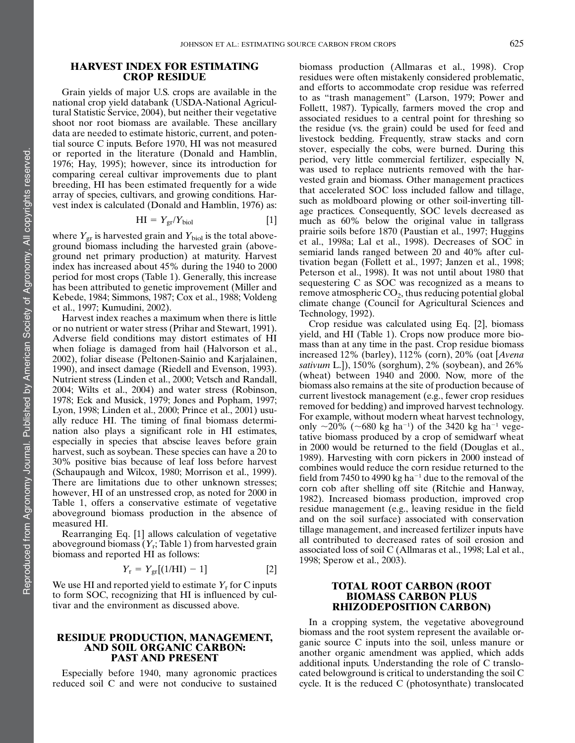# HARVEST INDEX FOR ESTIMATING CROP RESIDUE

Grain yields of major U.S. crops are available in the national crop yield databank (USDA-National Agricultural Statistic Service, 2004), but neither their vegetative shoot nor root biomass are available. These ancillary data are needed to estimate historic, current, and potential source C inputs. Before 1970, HI was not measured or reported in the literature (Donald and Hamblin, 1976; Hay, 1995); however, since its introduction for comparing cereal cultivar improvements due to plant breeding, HI has been estimated frequently for a wide array of species, cultivars, and growing conditions. Harvest index is calculated (Donald and Hamblin, 1976) as:

$$
HI = Y_{gr}/Y_{biol}
$$
 [1]

where  $Y_{\rm gr}$  is harvested grain and  $Y_{\rm biol}$  is the total aboveground biomass including the harvested grain (aboveground net primary production) at maturity. Harvest index has increased about 45% during the 1940 to 2000 period for most crops (Table 1). Generally, this increase has been attributed to genetic improvement (Miller and Kebede, 1984; Simmons, 1987; Cox et al., 1988; Voldeng et al., 1997; Kumudini, 2002).

Harvest index reaches a maximum when there is little or no nutrient or water stress (Prihar and Stewart, 1991). Adverse field conditions may distort estimates of HI when foliage is damaged from hail (Halvorson et al., 2002), foliar disease (Peltonen-Sainio and Karjalainen, 1990), and insect damage (Riedell and Evenson, 1993). Nutrient stress (Linden et al., 2000; Vetsch and Randall, 2004; Wilts et al., 2004) and water stress (Robinson, 1978; Eck and Musick, 1979; Jones and Popham, 1997; Lyon, 1998; Linden et al., 2000; Prince et al., 2001) usually reduce HI. The timing of final biomass determination also plays a significant role in HI estimates, especially in species that abscise leaves before grain harvest, such as soybean. These species can have a 20 to 30% positive bias because of leaf loss before harvest (Schaupaugh and Wilcox, 1980; Morrison et al., 1999). There are limitations due to other unknown stresses; however, HI of an unstressed crop, as noted for 2000 in Table 1, offers a conservative estimate of vegetative aboveground biomass production in the absence of measured HI.

Rearranging Eq. [1] allows calculation of vegetative aboveground biomass  $(Y_r; \text{Table 1})$  from harvested grain biomass and reported HI as follows:

$$
Y_{\rm r} = Y_{\rm gr}[(1/HI) - 1] \tag{2}
$$

We use HI and reported yield to estimate  $Y_r$  for C inputs to form SOC, recognizing that HI is influenced by cultivar and the environment as discussed above.

# RESIDUE PRODUCTION, MANAGEMENT, AND SOIL ORGANIC CARBON: PAST AND PRESENT

Especially before 1940, many agronomic practices reduced soil C and were not conducive to sustained

biomass production (Allmaras et al., 1998). Crop residues were often mistakenly considered problematic, and efforts to accommodate crop residue was referred to as "trash management" (Larson, 1979; Power and Follett, 1987). Typically, farmers moved the crop and associated residues to a central point for threshing so the residue (vs. the grain) could be used for feed and livestock bedding. Frequently, straw stacks and corn stover, especially the cobs, were burned. During this period, very little commercial fertilizer, especially N, was used to replace nutrients removed with the harvested grain and biomass. Other management practices that accelerated SOC loss included fallow and tillage, such as moldboard plowing or other soil-inverting tillage practices. Consequently, SOC levels decreased as much as 60% below the original value in tallgrass prairie soils before 1870 (Paustian et al., 1997; Huggins et al., 1998a; Lal et al., 1998). Decreases of SOC in semiarid lands ranged between 20 and 40% after cultivation began (Follett et al., 1997; Janzen et al., 1998; Peterson et al., 1998). It was not until about 1980 that sequestering C as SOC was recognized as a means to remove atmospheric  $CO<sub>2</sub>$ , thus reducing potential global climate change (Council for Agricultural Sciences and Technology, 1992).

Crop residue was calculated using Eq. [2], biomass yield, and HI (Table 1). Crops now produce more biomass than at any time in the past. Crop residue biomass increased 12% (barley), 112% (corn), 20% (oat [Avena sativum L.]), 150% (sorghum), 2% (soybean), and 26% (wheat) between 1940 and 2000. Now, more of the biomass also remains at the site of production because of current livestock management (e.g., fewer crop residues removed for bedding) and improved harvest technology. For example, without modern wheat harvest technology, only  $\sim$ 20% ( $\sim$ 680 kg ha<sup>-1</sup>) of the 3420 kg ha<sup>-1</sup> vegetative biomass produced by a crop of semidwarf wheat in 2000 would be returned to the field (Douglas et al., 1989). Harvesting with corn pickers in 2000 instead of combines would reduce the corn residue returned to the field from 7450 to 4990 kg ha<sup>-1</sup> due to the removal of the corn cob after shelling off site (Ritchie and Hanway, 1982). Increased biomass production, improved crop residue management (e.g., leaving residue in the field and on the soil surface) associated with conservation tillage management, and increased fertilizer inputs have all contributed to decreased rates of soil erosion and associated loss of soil C (Allmaras et al., 1998; Lal et al., 1998; Sperow et al., 2003).

# TOTAL ROOT CARBON (ROOT BIOMASS CARBON PLUS RHIZODEPOSITION CARBON)

In a cropping system, the vegetative aboveground biomass and the root system represent the available organic source C inputs into the soil, unless manure or another organic amendment was applied, which adds additional inputs. Understanding the role of C translocated belowground is critical to understanding the soil C cycle. It is the reduced C (photosynthate) translocated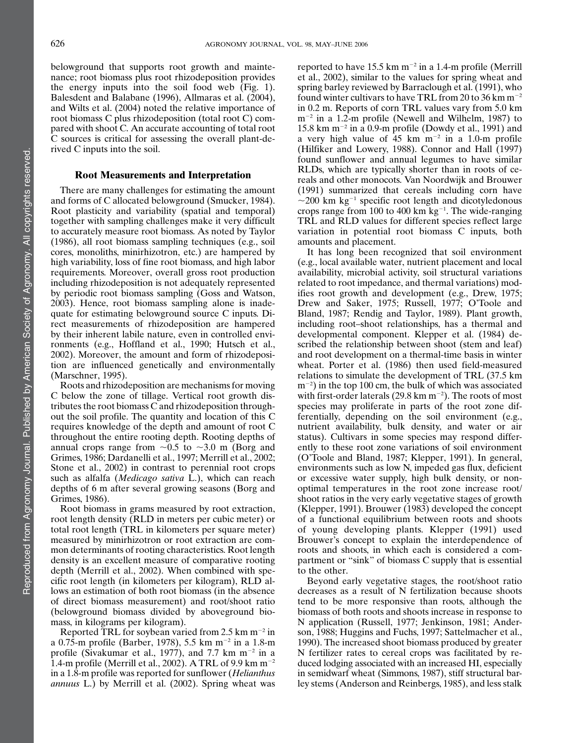belowground that supports root growth and maintenance; root biomass plus root rhizodeposition provides the energy inputs into the soil food web  $(Fig. 1)$ . Balesdent and Balabane (1996), Allmaras et al. (2004), and Wilts et al. (2004) noted the relative importance of root biomass C plus rhizodeposition (total root C) compared with shoot C. An accurate accounting of total root C sources is critical for assessing the overall plant-derived C inputs into the soil.

### Root Measurements and Interpretation

There are many challenges for estimating the amount and forms of C allocated belowground (Smucker, 1984). Root plasticity and variability (spatial and temporal) together with sampling challenges make it very difficult to accurately measure root biomass. As noted by Taylor (1986), all root biomass sampling techniques (e.g., soil cores, monoliths, minirhizotron, etc.) are hampered by high variability, loss of fine root biomass, and high labor requirements. Moreover, overall gross root production including rhizodeposition is not adequately represented by periodic root biomass sampling (Goss and Watson, 2003). Hence, root biomass sampling alone is inadequate for estimating belowground source C inputs. Direct measurements of rhizodeposition are hampered by their inherent labile nature, even in controlled environments (e.g., Hoffland et al., 1990; Hutsch et al., 2002). Moreover, the amount and form of rhizodeposition are influenced genetically and environmentally (Marschner, 1995).

Roots and rhizodeposition are mechanisms for moving C below the zone of tillage. Vertical root growth distributes the root biomass C and rhizodeposition throughout the soil profile. The quantity and location of this C requires knowledge of the depth and amount of root C throughout the entire rooting depth. Rooting depths of annual crops range from  $\sim 0.5$  to  $\sim 3.0$  m (Borg and Grimes, 1986; Dardanelli et al., 1997; Merrill et al., 2002; Stone et al., 2002) in contrast to perennial root crops such as alfalfa (Medicago sativa L.), which can reach depths of 6 m after several growing seasons (Borg and Grimes, 1986).

Root biomass in grams measured by root extraction, root length density (RLD in meters per cubic meter) or total root length (TRL in kilometers per square meter) measured by minirhizotron or root extraction are common determinants of rooting characteristics. Root length density is an excellent measure of comparative rooting depth (Merrill et al., 2002). When combined with specific root length (in kilometers per kilogram), RLD allows an estimation of both root biomass (in the absence of direct biomass measurement) and root/shoot ratio (belowground biomass divided by aboveground biomass, in kilograms per kilogram).

Reported TRL for soybean varied from 2.5 km  $m^{-2}$  in a 0.75-m profile (Barber, 1978), 5.5 km m<sup>-2</sup> in a 1.8-m profile (Sivakumar et al., 1977), and 7.7 km  $m^{-2}$  in a 1.4-m profile (Merrill et al., 2002). A TRL of 9.9 km  $m^{-2}$ in a 1.8-m profile was reported for sunflower (Helianthus annuus L.) by Merrill et al. (2002). Spring wheat was reported to have 15.5 km  $m^{-2}$  in a 1.4-m profile (Merrill et al., 2002), similar to the values for spring wheat and spring barley reviewed by Barraclough et al. (1991), who found winter cultivars to have TRL from 20 to 36 km  $m^{-2}$ in 0.2 m. Reports of corn TRL values vary from 5.0 km  $m^{-2}$  in a 1.2-m profile (Newell and Wilhelm, 1987) to 15.8 km m<sup>-2</sup> in a 0.9-m profile (Dowdy et al., 1991) and a very high value of  $45 \text{ km } \text{m}^{-2}$  in a 1.0-m profile (Hilfiker and Lowery, 1988). Connor and Hall (1997) found sunflower and annual legumes to have similar RLDs, which are typically shorter than in roots of cereals and other monocots. Van Noordwijk and Brouwer (1991) summarized that cereals including corn have  $\sim$ 200 km kg<sup>-1</sup> specific root length and dicotyledonous crops range from 100 to 400 km  $kg^{-1}$ . The wide-ranging TRL and RLD values for different species reflect large variation in potential root biomass C inputs, both amounts and placement.

It has long been recognized that soil environment (e.g., local available water, nutrient placement and local availability, microbial activity, soil structural variations related to root impedance, and thermal variations) modifies root growth and development (e.g., Drew, 1975; Drew and Saker, 1975; Russell, 1977; O'Toole and Bland, 1987; Rendig and Taylor, 1989). Plant growth, including root–shoot relationships, has a thermal and developmental component. Klepper et al. (1984) described the relationship between shoot (stem and leaf) and root development on a thermal-time basis in winter wheat. Porter et al. (1986) then used field-measured relations to simulate the development of TRL (37.5 km  $(m^{-2})$  in the top 100 cm, the bulk of which was associated with first-order laterals (29.8 km  $m^{-2}$ ). The roots of most species may proliferate in parts of the root zone differentially, depending on the soil environment (e.g., nutrient availability, bulk density, and water or air status). Cultivars in some species may respond differently to these root zone variations of soil environment (O'Toole and Bland, 1987; Klepper, 1991). In general, environments such as low N, impeded gas flux, deficient or excessive water supply, high bulk density, or nonoptimal temperatures in the root zone increase root/ shoot ratios in the very early vegetative stages of growth (Klepper, 1991). Brouwer (1983) developed the concept of a functional equilibrium between roots and shoots of young developing plants. Klepper (1991) used Brouwer's concept to explain the interdependence of roots and shoots, in which each is considered a compartment or "sink" of biomass C supply that is essential to the other.

Beyond early vegetative stages, the root/shoot ratio decreases as a result of N fertilization because shoots tend to be more responsive than roots, although the biomass of both roots and shoots increase in response to N application (Russell, 1977; Jenkinson, 1981; Anderson, 1988; Huggins and Fuchs, 1997; Sattelmacher et al., 1990). The increased shoot biomass produced by greater N fertilizer rates to cereal crops was facilitated by reduced lodging associated with an increased HI, especially in semidwarf wheat (Simmons, 1987), stiff structural barley stems (Anderson and Reinbergs, 1985), and less stalk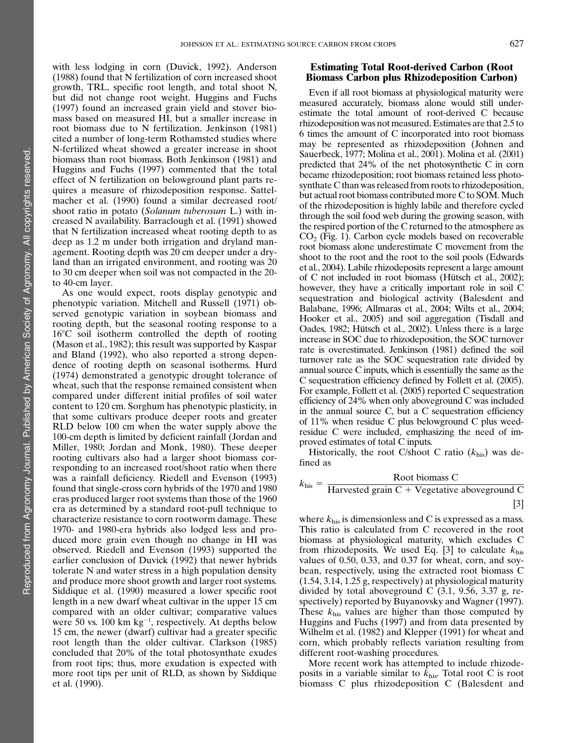with less lodging in corn (Duvick, 1992). Anderson (1988) found that N fertilization of corn increased shoot growth, TRL, specific root length, and total shoot N, but did not change root weight. Huggins and Fuchs (1997) found an increased grain yield and stover biomass based on measured HI, but a smaller increase in root biomass due to N fertilization. Jenkinson (1981) cited a number of long-term Rothamsted studies where N-fertilized wheat showed a greater increase in shoot biomass than root biomass. Both Jenkinson (1981) and Huggins and Fuchs (1997) commented that the total effect of N fertilization on belowground plant parts requires a measure of rhizodeposition response. Sattelmacher et al. (1990) found a similar decreased root/ shoot ratio in potato (Solanum tuberosum L.) with increased N availability. Barraclough et al. (1991) showed that N fertilization increased wheat rooting depth to as deep as 1.2 m under both irrigation and dryland management. Rooting depth was 20 cm deeper under a dryland than an irrigated environment, and rooting was 20 to 30 cm deeper when soil was not compacted in the 20 to 40-cm layer.

As one would expect, roots display genotypic and phenotypic variation. Mitchell and Russell (1971) observed genotypic variation in soybean biomass and rooting depth, but the seasonal rooting response to a  $16^{\circ}$ C soil isotherm controlled the depth of rooting (Mason et al., 1982); this result was supported by Kaspar and Bland (1992), who also reported a strong dependence of rooting depth on seasonal isotherms. Hurd (1974) demonstrated a genotypic drought tolerance of wheat, such that the response remained consistent when compared under different initial profiles of soil water content to 120 cm. Sorghum has phenotypic plasticity, in that some cultivars produce deeper roots and greater RLD below 100 cm when the water supply above the 100-cm depth is limited by deficient rainfall (Jordan and Miller, 1980; Jordan and Monk, 1980). These deeper rooting cultivars also had a larger shoot biomass corresponding to an increased root/shoot ratio when there was a rainfall deficiency. Riedell and Evenson (1993) found that single-cross corn hybrids of the 1970 and 1980 eras produced larger root systems than those of the 1960 era as determined by a standard root-pull technique to characterize resistance to corn rootworm damage. These 1970- and 1980-era hybrids also lodged less and produced more grain even though no change in HI was observed. Riedell and Evenson (1993) supported the earlier conclusion of Duvick (1992) that newer hybrids tolerate N and water stress in a high population density and produce more shoot growth and larger root systems. Siddique et al. (1990) measured a lower specific root length in a new dwarf wheat cultivar in the upper 15 cm compared with an older cultivar; comparative values were 50 vs.  $100 \text{ km kg}^{-1}$ , respectively. At depths below 15 cm, the newer (dwarf) cultivar had a greater specific root length than the older cultivar. Clarkson (1985) concluded that 20% of the total photosynthate exudes from root tips; thus, more exudation is expected with more root tips per unit of RLD, as shown by Siddique et al. (1990).

# Estimating Total Root-derived Carbon (Root Biomass Carbon plus Rhizodeposition Carbon)

Even if all root biomass at physiological maturity were measured accurately, biomass alone would still underestimate the total amount of root-derived C because rhizodeposition was not measured. Estimates are that 2.5 to 6 times the amount of C incorporated into root biomass may be represented as rhizodeposition (Johnen and Sauerbeck, 1977; Molina et al., 2001). Molina et al. (2001) predicted that 24% of the net photosynthetic C in corn became rhizodeposition; root biomass retained less photosynthate C than was released from roots to rhizodeposition, but actual root biomass contributed more C to SOM. Much of the rhizodeposition is highly labile and therefore cycled through the soil food web during the growing season, with the respired portion of the C returned to the atmosphere as  $CO<sub>2</sub>$  (Fig. 1). Carbon cycle models based on recoverable root biomass alone underestimate C movement from the shoot to the root and the root to the soil pools (Edwards et al., 2004). Labile rhizodeposits represent a large amount of C not included in root biomass (Hütsch et al., 2002); however, they have a critically important role in soil C sequestration and biological activity (Balesdent and Balabane, 1996; Allmaras et al., 2004; Wilts et al., 2004; Hooker et al., 2005) and soil aggregation (Tisdall and Oades, 1982; Hütsch et al., 2002). Unless there is a large increase in SOC due to rhizodeposition, the SOC turnover rate is overestimated. Jenkinson (1981) defined the soil turnover rate as the SOC sequestration rate divided by annual source C inputs, which is essentially the same as the C sequestration efficiency defined by Follett et al. (2005). For example, Follett et al. (2005) reported C sequestration efficiency of 24% when only aboveground C was included in the annual source C, but a C sequestration efficiency of 11% when residue C plus belowground C plus weedresidue C were included, emphasizing the need of improved estimates of total C inputs.

Historically, the root C/shoot C ratio  $(k<sub>his</sub>)$  was defined as

$$
k_{\text{his}} = \frac{\text{Root biomass C}}{\text{Harvested grain C} + \text{Vegetative aboveground C}}
$$
\n[3]

where  $k_{\text{his}}$  is dimensionless and C is expressed as a mass. This ratio is calculated from C recovered in the root biomass at physiological maturity, which excludes C from rhizodeposits. We used Eq. [3] to calculate  $k_{\text{his}}$ values of 0.50, 0.33, and 0.37 for wheat, corn, and soybean, respectively, using the extracted root biomass C (1.54, 3.14, 1.25 g, respectively) at physiological maturity divided by total aboveground C  $(3.1, 9.56, 3.37, g, re$ spectively) reported by Buyanovsky and Wagner (1997). These  $k_{\text{his}}$  values are higher than those computed by Huggins and Fuchs (1997) and from data presented by Wilhelm et al. (1982) and Klepper (1991) for wheat and corn, which probably reflects variation resulting from different root-washing procedures.

More recent work has attempted to include rhizodeposits in a variable similar to  $k_{\text{his}}$ . Total root C is root biomass C plus rhizodeposition C (Balesdent and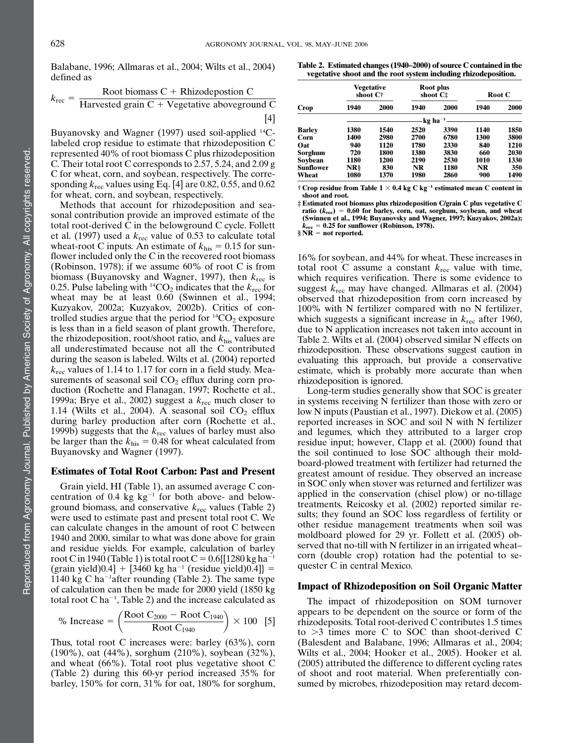Balabane, 1996; Allmaras et al., 2004; Wilts et al., 2004) defined as

$$
k_{\text{rec}} = \frac{\text{Root biomass C} + \text{Rhizodeposition C}}{\text{Harvested grain C} + \text{Vegetative aboveground C}}
$$

[4]

Buyanovsky and Wagner (1997) used soil-applied <sup>14</sup>Clabeled crop residue to estimate that rhizodeposition C represented 40% of root biomass C plus rhizodeposition C. Their total root C corresponds to 2.57, 5.24, and 2.09 g C for wheat, corn, and soybean, respectively. The corresponding  $k_{\text{rec}}$  values using Eq. [4] are 0.82, 0.55, and 0.62 for wheat, corn, and soybean, respectively.

Methods that account for rhizodeposition and seasonal contribution provide an improved estimate of the total root-derived C in the belowground C cycle. Follett et al. (1997) used a  $k_{\text{rec}}$  value of 0.53 to calculate total wheat-root C inputs. An estimate of  $k_{\text{his}} = 0.15$  for sunflower included only the C in the recovered root biomass (Robinson, 1978); if we assume 60% of root C is from biomass (Buyanovsky and Wagner, 1997), then  $k_{\text{rec}}$  is 0.25. Pulse labeling with <sup>14</sup>CO<sub>2</sub> indicates that the  $k_{\text{rec}}$  for wheat may be at least 0.60 (Swinnen et al., 1994; Kuzyakov, 2002a; Kuzyakov, 2002b). Critics of controlled studies argue that the period for  ${}^{14}CO_2$  exposure is less than in a field season of plant growth. Therefore, the rhizodeposition, root/shoot ratio, and  $k_{\text{his}}$  values are all underestimated because not all the C contributed during the season is labeled. Wilts et al. (2004) reported  $k_{\text{rec}}$  values of 1.14 to 1.17 for corn in a field study. Measurements of seasonal soil  $CO<sub>2</sub>$  efflux during corn production (Rochette and Flanagan, 1997; Rochette et al., 1999a; Brye et al., 2002) suggest a  $k_{\text{rec}}$  much closer to 1.14 (Wilts et al., 2004). A seasonal soil  $CO<sub>2</sub>$  efflux during barley production after corn (Rochette et al., 1999b) suggests that the  $k_{\text{rec}}$  values of barley must also be larger than the  $k_{\text{his}} = 0.48$  for wheat calculated from Buyanovsky and Wagner (1997).

#### Estimates of Total Root Carbon: Past and Present

Grain yield, HI (Table 1), an assumed average C concentration of  $0.4 \text{ kg kg}^{-1}$  for both above- and belowground biomass, and conservative  $k_{\text{rec}}$  values (Table 2) were used to estimate past and present total root C. We can calculate changes in the amount of root C between 1940 and 2000, similar to what was done above for grain and residue yields. For example, calculation of barley root C in 1940 (Table 1) is total root C =  $0.6$ { $[1280 \text{ kg ha}^{-1}]$ (grain yield) $0.4$ ] + [3460 kg ha<sup>-1</sup> (residue yield) $0.4$ ]} = 1140 kg C ha<sup>-1</sup>after rounding (Table 2). The same type of calculation can then be made for 2000 yield (1850 kg total root C ha<sup>-1</sup>, Table 2) and the increase calculated as

% Increase = 
$$
\left(\frac{\text{Root C}_{2000} - \text{Root C}_{1940}}{\text{Root C}_{1940}}\right) \times 100
$$
 [5]

Thus, total root C increases were: barley (63%), corn (190%), oat (44%), sorghum (210%), soybean (32%), and wheat (66%). Total root plus vegetative shoot C (Table 2) during this 60-yr period increased 35% for barley, 150% for corn, 31% for oat, 180% for sorghum,

Table 2. Estimated changes (1940–2000) of source C contained in the vegetative shoot and the root system including rhizodeposition.

|           |      | Vegetative<br>shoot C† | Root plus<br>shoot C <sup>#</sup> |      | Root C |      |
|-----------|------|------------------------|-----------------------------------|------|--------|------|
| Crop      | 1940 | 2000                   | 1940                              | 2000 | 1940   | 2000 |
|           |      |                        | $kg$ ha <sup>-1</sup>             |      |        |      |
| Barley    | 1380 | 1540                   | 2520                              | 3390 | 1140   | 1850 |
| Corn      | 1400 | 2980                   | 2700                              | 6780 | 1300   | 3800 |
| Oat       | 940  | 1120                   | 1780                              | 2330 | 840    | 1210 |
| Sorghum   | 720  | 1800                   | 1380                              | 3830 | 660    | 2030 |
| Soybean   | 1180 | 1200                   | 2190                              | 2530 | 1010   | 1330 |
| Sunflower | NR\$ | 830                    | NR                                | 1180 | NR     | 350  |
| Wheat     | 1080 | 1370                   | 1980                              | 2860 | 900    | 1490 |

 $\dagger$  Crop residue from Table 1  $\times$  0.4 kg C kg<sup>-1</sup> estimated mean C content in shoot and root.

‡ Estimated root biomass plus rhizodeposition C/grain C plus vegetative C ratio  $(k_{\text{rec}}) = 0.60$  for barley, corn, oat, sorghum, soybean, and wheat (Swinnen et al., 1994; Buyanovsky and Wagner, 1997; Kuzyakov, 2002a);  $k_{\text{rec}} = 0.25$  for sunflower (Robinson, 1978).

 $\S \overline{\text{NR}}$  = not reported.

16% for soybean, and 44% for wheat. These increases in total root C assume a constant  $k_{\text{rec}}$  value with time, which requires verification. There is some evidence to suggest  $k_{\text{rec}}$  may have changed. Allmaras et al. (2004) observed that rhizodeposition from corn increased by 100% with N fertilizer compared with no N fertilizer, which suggests a significant increase in  $k_{\text{rec}}$  after 1960, due to N application increases not taken into account in Table 2. Wilts et al. (2004) observed similar N effects on rhizodeposition. These observations suggest caution in evaluating this approach, but provide a conservative estimate, which is probably more accurate than when rhizodeposition is ignored.

Long-term studies generally show that SOC is greater in systems receiving N fertilizer than those with zero or low N inputs (Paustian et al., 1997). Diekow et al. (2005) reported increases in SOC and soil N with N fertilizer and legumes, which they attributed to a larger crop residue input; however, Clapp et al. (2000) found that the soil continued to lose SOC although their moldboard-plowed treatment with fertilizer had returned the greatest amount of residue. They observed an increase in SOC only when stover was returned and fertilizer was applied in the conservation (chisel plow) or no-tillage treatments. Reicosky et al. (2002) reported similar results; they found an SOC loss regardless of fertility or other residue management treatments when soil was moldboard plowed for 29 yr. Follett et al. (2005) observed that no-till with N fertilizer in an irrigated wheat– corn (double crop) rotation had the potential to sequester C in central Mexico.

#### Impact of Rhizodeposition on Soil Organic Matter

The impact of rhizodeposition on SOM turnover appears to be dependent on the source or form of the rhizodeposits. Total root-derived C contributes 1.5 times to  $>3$  times more C to SOC than shoot-derived C (Balesdent and Balabane, 1996; Allmaras et al., 2004; Wilts et al., 2004; Hooker et al., 2005). Hooker et al. (2005) attributed the difference to different cycling rates of shoot and root material. When preferentially consumed by microbes, rhizodeposition may retard decom-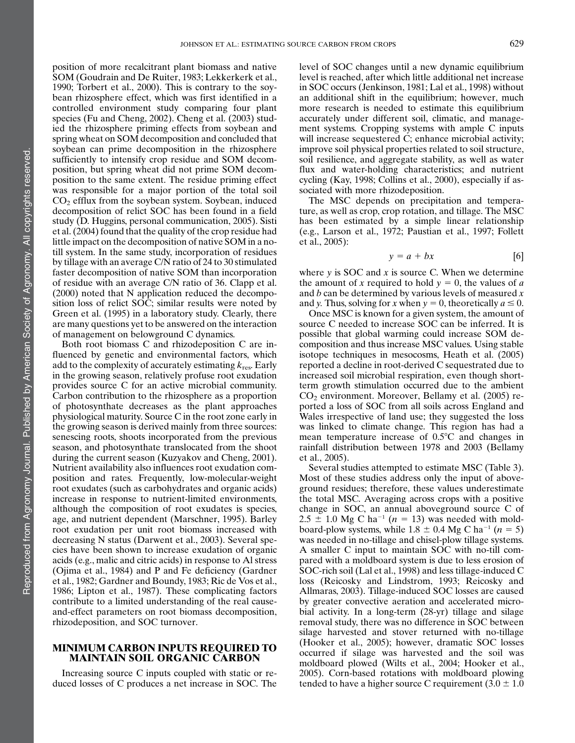position of more recalcitrant plant biomass and native SOM (Goudrain and De Ruiter, 1983; Lekkerkerk et al., 1990; Torbert et al., 2000). This is contrary to the soybean rhizosphere effect, which was first identified in a controlled environment study comparing four plant species (Fu and Cheng, 2002). Cheng et al. (2003) studied the rhizosphere priming effects from soybean and spring wheat on SOM decomposition and concluded that soybean can prime decomposition in the rhizosphere sufficiently to intensify crop residue and SOM decomposition, but spring wheat did not prime SOM decomposition to the same extent. The residue priming effect was responsible for a major portion of the total soil  $CO<sub>2</sub>$  efflux from the soybean system. Soybean, induced decomposition of relict SOC has been found in a field study (D. Huggins, personal communication, 2005). Sisti et al. (2004) found that the quality of the crop residue had little impact on the decomposition of native SOM in a notill system. In the same study, incorporation of residues by tillage with an average C/N ratio of 24 to 30 stimulated faster decomposition of native SOM than incorporation of residue with an average C/N ratio of 36. Clapp et al. (2000) noted that N application reduced the decomposition loss of relict SOC; similar results were noted by Green et al. (1995) in a laboratory study. Clearly, there are many questions yet to be answered on the interaction of management on belowground C dynamics.

Both root biomass C and rhizodeposition C are influenced by genetic and environmental factors, which add to the complexity of accurately estimating  $k_{res}$ . Early in the growing season, relatively profuse root exudation provides source C for an active microbial community. Carbon contribution to the rhizosphere as a proportion of photosynthate decreases as the plant approaches physiological maturity. Source C in the root zone early in the growing season is derived mainly from three sources: senescing roots, shoots incorporated from the previous season, and photosynthate translocated from the shoot during the current season (Kuzyakov and Cheng, 2001). Nutrient availability also influences root exudation composition and rates. Frequently, low-molecular-weight root exudates (such as carbohydrates and organic acids) increase in response to nutrient-limited environments, although the composition of root exudates is species, age, and nutrient dependent (Marschner, 1995). Barley root exudation per unit root biomass increased with decreasing N status (Darwent et al., 2003). Several species have been shown to increase exudation of organic acids (e.g., malic and citric acids) in response to Al stress (Ojima et al., 1984) and P and Fe deficiency (Gardner et al., 1982; Gardner and Boundy, 1983; Ric de Vos et al., 1986; Lipton et al., 1987). These complicating factors contribute to a limited understanding of the real causeand-effect parameters on root biomass decomposition, rhizodeposition, and SOC turnover.

# MINIMUM CARBON INPUTS REQUIRED TO MAINTAIN SOIL ORGANIC CARBON

Increasing source C inputs coupled with static or reduced losses of C produces a net increase in SOC. The level of SOC changes until a new dynamic equilibrium level is reached, after which little additional net increase in SOC occurs (Jenkinson, 1981; Lal et al., 1998) without an additional shift in the equilibrium; however, much more research is needed to estimate this equilibrium accurately under different soil, climatic, and management systems. Cropping systems with ample C inputs will increase sequestered C; enhance microbial activity; improve soil physical properties related to soil structure, soil resilience, and aggregate stability, as well as water flux and water-holding characteristics; and nutrient cycling (Kay, 1998; Collins et al., 2000), especially if associated with more rhizodeposition.

The MSC depends on precipitation and temperature, as well as crop, crop rotation, and tillage. The MSC has been estimated by a simple linear relationship (e.g., Larson et al., 1972; Paustian et al., 1997; Follett et al., 2005):

$$
y = a + bx \tag{6}
$$

where  $y$  is SOC and  $x$  is source C. When we determine the amount of x required to hold  $y = 0$ , the values of a and  $b$  can be determined by various levels of measured  $x$ and y. Thus, solving for x when  $y = 0$ , theoretically  $a \le 0$ .

Once MSC is known for a given system, the amount of source C needed to increase SOC can be inferred. It is possible that global warming could increase SOM decomposition and thus increase MSC values. Using stable isotope techniques in mesocosms, Heath et al. (2005) reported a decline in root-derived C sequestrated due to increased soil microbial respiration, even though shortterm growth stimulation occurred due to the ambient  $CO<sub>2</sub>$  environment. Moreover, Bellamy et al. (2005) reported a loss of SOC from all soils across England and Wales irrespective of land use; they suggested the loss was linked to climate change. This region has had a mean temperature increase of  $0.5^{\circ}$ C and changes in rainfall distribution between 1978 and 2003 (Bellamy et al., 2005).

Several studies attempted to estimate MSC (Table 3). Most of these studies address only the input of aboveground residues; therefore, these values underestimate the total MSC. Averaging across crops with a positive change in SOC, an annual aboveground source C of  $2.5 \pm 1.0$  Mg C ha<sup>-1</sup> (n = 13) was needed with moldboard-plow systems, while 1.8  $\pm$  0.4 Mg C ha<sup>-1</sup> (n = 5) was needed in no-tillage and chisel-plow tillage systems. A smaller C input to maintain SOC with no-till compared with a moldboard system is due to less erosion of SOC-rich soil (Lal et al., 1998) and less tillage-induced C loss (Reicosky and Lindstrom, 1993; Reicosky and Allmaras, 2003). Tillage-induced SOC losses are caused by greater convective aeration and accelerated microbial activity. In a long-term (28-yr) tillage and silage removal study, there was no difference in SOC between silage harvested and stover returned with no-tillage (Hooker et al., 2005); however, dramatic SOC losses occurred if silage was harvested and the soil was moldboard plowed (Wilts et al., 2004; Hooker et al., 2005). Corn-based rotations with moldboard plowing tended to have a higher source C requirement  $(3.0 \pm 1.0)$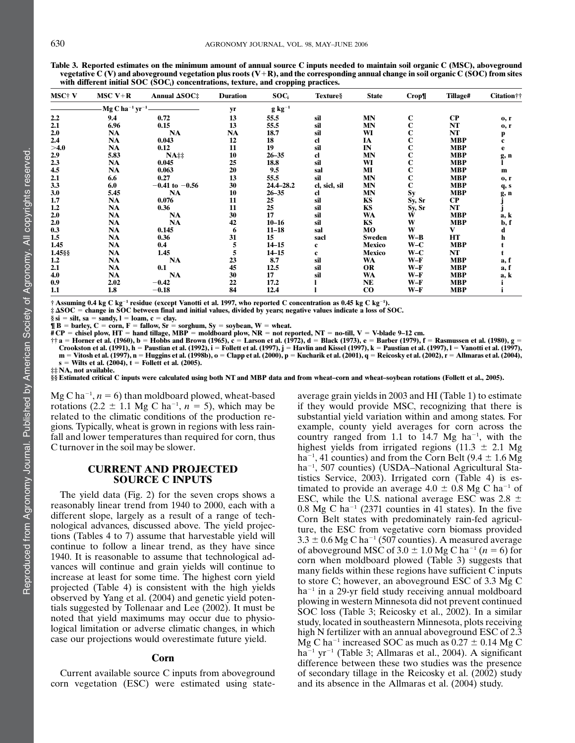|              | vegetative C (V) and aboveground vegetation plus roots (V+R), and the corresponding annual change in soil organic C (SOC) from sites<br>with different initial SOC (SOC.) concentrations, texture, and cropping practices. |                             |                 |              |          |             |       |                 |                    |  |
|--------------|----------------------------------------------------------------------------------------------------------------------------------------------------------------------------------------------------------------------------|-----------------------------|-----------------|--------------|----------|-------------|-------|-----------------|--------------------|--|
| <b>MSC+V</b> | MSC $V+R$                                                                                                                                                                                                                  | Annual $\Delta SOC\ddagger$ | <b>Duration</b> | SOC.         | Texture§ | State       | Crop¶ | <b>Tillage#</b> | <b>Citation</b> †† |  |
|              |                                                                                                                                                                                                                            |                             |                 | g kg $^{-1}$ |          |             |       |                 |                    |  |
| 2.2          | 9.4                                                                                                                                                                                                                        | 0.72                        |                 | 55.5         | sil      | MN          |       | CР              | 0, r               |  |
| $^{\sim}$ 1  | C QC                                                                                                                                                                                                                       | 0.15                        | 12              | ee e         | $\sim$ 1 | <b>MANT</b> |       | NIT             |                    |  |

Table 3. Reported estimates on the minimum amount of annual source C inputs needed to maintain soil organic C (MSC), aboveground vegetative C (V) and aboveground vegetation plus roots (V+R), and the corresponding annual change in soil organic C (SOC) from sites

|            |                                         |                                       |    |             |               |           | ---г п      |            |              |
|------------|-----------------------------------------|---------------------------------------|----|-------------|---------------|-----------|-------------|------------|--------------|
|            | $MgC$ ha <sup>-1</sup> yr <sup>-1</sup> |                                       | yr | $g kg^{-1}$ |               |           |             |            |              |
| 2.2        | 9.4                                     | 0.72                                  | 13 | 55.5        | sil           | <b>MN</b> | С           | $\bf CP$   | 0, r         |
| 2.1        | 6.96                                    | 0.15                                  | 13 | 55.5        | sil           | MN        | $\mathbf C$ | NT         | 0, r         |
| 2.0        | NA                                      | <b>NA</b>                             | NA | 18.7        | sil           | WI        |             | NT         |              |
| 2.4        | NA                                      | 0.043                                 | 12 | 18          | cl            | IA        | С           | <b>MBP</b> | p<br>c       |
| $>\!\!4.0$ | NA                                      | 0.12                                  | 11 | 19          | sil           | IN        | С           | <b>MBP</b> | e            |
| 2.9        | 5.83                                    | $NA$ <sup><math>\ddagger</math></sup> | 10 | $26 - 35$   | cl            | <b>MN</b> | С           | <b>MBP</b> | g, n         |
| 2.3        | <b>NA</b>                               | 0.045                                 | 25 | 18.8        | sil           | WI        | С           | <b>MBP</b> |              |
| 4.5        | NA                                      | 0.063                                 | 20 | 9.5         | sal           | MI        | C           | MBP        | $\mathbf{m}$ |
| 2.1        | 6.6                                     | 0.27                                  | 13 | 55.5        | sil           | <b>MN</b> | C           | MBP        | 0, r         |
| 3.3        | 6.0                                     | $-0.41$ to $-0.56$                    | 30 | 24.4-28.2   | cl, sicl, sil | <b>MN</b> | $\mathbf C$ | <b>MBP</b> | q, s         |
| 3.0        | 5.45                                    | <b>NA</b>                             | 10 | $26 - 35$   | cl.           | <b>MN</b> | Sy          | <b>MBP</b> | g, n         |
| 1.7        | <b>NA</b>                               | 0.076                                 | 11 | 25          | sil           | KS        | Sy, Sr      | <b>CP</b>  |              |
| 1.2        | NA                                      | 0.36                                  | 11 | 25          | sil           | KS        | Sy, Sr      | NT         |              |
| 2.0        | NA                                      | <b>NA</b>                             | 30 | 17          | sil           | WA        | W           | <b>MBP</b> | a, k         |
| 2.0        | NA                                      | <b>NA</b>                             | 42 | $10 - 16$   | sil           | KS        | W           | <b>MBP</b> | b, f         |
| 0.3        | NA                                      | 0.145                                 | 6  | $11 - 18$   | sal           | MO        | W           | V          | d            |
| 1.5        | <b>NA</b>                               | 0.36                                  | 31 | 15          | sacl          | Sweden    | $W-B$       | HT         | h            |
| 1.45       | NA                                      | 0.4                                   | 5  | $14 - 15$   | c             | Mexico    | $W-C$       | <b>MBP</b> |              |
| 1.45§§     | <b>NA</b>                               | 1.45                                  | 5  | $14 - 15$   | c             | Mexico    | $W-C$       | NT         |              |
| 1.2        | NA                                      | <b>NA</b>                             | 23 | 8.7         | sil           | WA        | $W-F$       | <b>MBP</b> | a, f         |
| 2.1        | NA                                      | 0.1                                   | 45 | 12.5        | sil           | <b>OR</b> | $W-F$       | <b>MBP</b> | a, f         |
| 4.0        | <b>NA</b>                               | <b>NA</b>                             | 30 | 17          | sil           | WA        | $W-F$       | MBP        | a, k         |
| 0.9        | 2.02                                    | $-0.42$                               | 22 | 17.2        |               | NE        | $W-F$       | <b>MBP</b> |              |
| 1.1        | 1.8                                     | $-0.18$                               | 84 | 12.4        |               | $\bf{CO}$ | $W-F$       | <b>MBP</b> |              |

† Assuming 0.4 kg C kg<sup>-1</sup> residue (except Vanotti et al. 1997, who reported C concentration as 0.45 kg C kg<sup>-1</sup>).

‡ DSOC 5 change in SOC between final and initial values, divided by years; negative values indicate a loss of SOC.

§si = silt, sa = sandy, l = loam, c = clay.<br>¶ B = barley, C = corn, F = fallow, Sr = sorghum, Sy = soybean, W = wheat.

# CP = chisel plow, HT = hand tillage, MBP = moldboard plow, NR = not reported, NT = no-till, V = V-blade 9–12 cm.<br>†† a = Horner et al. (1960), b = Hobbs and Brown (1965), c = Larson et al. (1972), d = Black (1973), e = Ba Crookston et al. (1991),  $h =$  Paustian et al. (1992),  $i =$  Follett et al. (1997),  $j =$  Havlin and Kissel (1997),  $k =$  Paustian et al. (1997),  $l =$  Vanotti et al. (1997), m = Vitosh et al. (1997), n = Huggins et al. (1998b), o = Clapp et al. (2000), p = Kucharik et al. (2001), q = Reicosky et al. (2002), r = Allmaras et al. (2004),

 $s =$  Wilts et al. (2004),  $t =$  Follett et al. (2005).

‡‡ NA, not available.

§§ Estimated critical C inputs were calculated using both NT and MBP data and from wheat–corn and wheat–soybean rotations (Follett et al., 2005).

 $Mg C h a^{-1}$ ,  $n = 6$ ) than moldboard plowed, wheat-based rotations (2.2  $\pm$  1.1 Mg C ha<sup>-1</sup>,  $n = 5$ ), which may be related to the climatic conditions of the production regions. Typically, wheat is grown in regions with less rainfall and lower temperatures than required for corn, thus C turnover in the soil may be slower.

# CURRENT AND PROJECTED SOURCE C INPUTS

The yield data (Fig. 2) for the seven crops shows a reasonably linear trend from 1940 to 2000, each with a different slope, largely as a result of a range of technological advances, discussed above. The yield projections (Tables 4 to 7) assume that harvestable yield will continue to follow a linear trend, as they have since 1940. It is reasonable to assume that technological advances will continue and grain yields will continue to increase at least for some time. The highest corn yield projected (Table 4) is consistent with the high yields observed by Yang et al. (2004) and genetic yield potentials suggested by Tollenaar and Lee (2002). It must be noted that yield maximums may occur due to physiological limitation or adverse climatic changes, in which case our projections would overestimate future yield.

#### Corn

Current available source C inputs from aboveground corn vegetation (ESC) were estimated using state-

average grain yields in 2003 and HI (Table 1) to estimate if they would provide MSC, recognizing that there is substantial yield variation within and among states. For example, county yield averages for corn across the country ranged from 1.1 to 14.7 Mg ha<sup>-1</sup>, with the highest yields from irrigated regions (11.3  $\pm$  2.1 Mg ha<sup>-1</sup>, 41 counties) and from the Corn Belt (9.4  $\pm$  1.6 Mg ha<sup>-1</sup>, 507 counties) (USDA-National Agricultural Statistics Service, 2003). Irrigated corn (Table 4) is estimated to provide an average  $4.0 \pm 0.8$  Mg C ha<sup>-1</sup> of ESC, while the U.S. national average ESC was  $2.8 \pm$  $0.8 \text{ Mg C}$  ha<sup>-1</sup> (2371 counties in 41 states). In the five Corn Belt states with predominately rain-fed agriculture, the ESC from vegetative corn biomass provided  $3.3 \pm 0.6$  Mg C ha<sup>-1</sup> (507 counties). A measured average of aboveground MSC of 3.0  $\pm$  1.0 Mg C ha<sup>-1</sup> (n = 6) for corn when moldboard plowed (Table 3) suggests that many fields within these regions have sufficient C inputs to store C; however, an aboveground ESC of 3.3 Mg C  $ha^{-1}$  in a 29-yr field study receiving annual moldboard plowing in western Minnesota did not prevent continued SOC loss (Table 3; Reicosky et al., 2002). In a similar study, located in southeastern Minnesota, plots receiving high N fertilizer with an annual aboveground ESC of 2.3 Mg C ha<sup>-1</sup> increased SOC as much as  $0.27 \pm 0.14$  Mg C  $ha^{-1}$  yr<sup>-1</sup> (Table 3; Allmaras et al., 2004). A significant difference between these two studies was the presence of secondary tillage in the Reicosky et al. (2002) study and its absence in the Allmaras et al. (2004) study.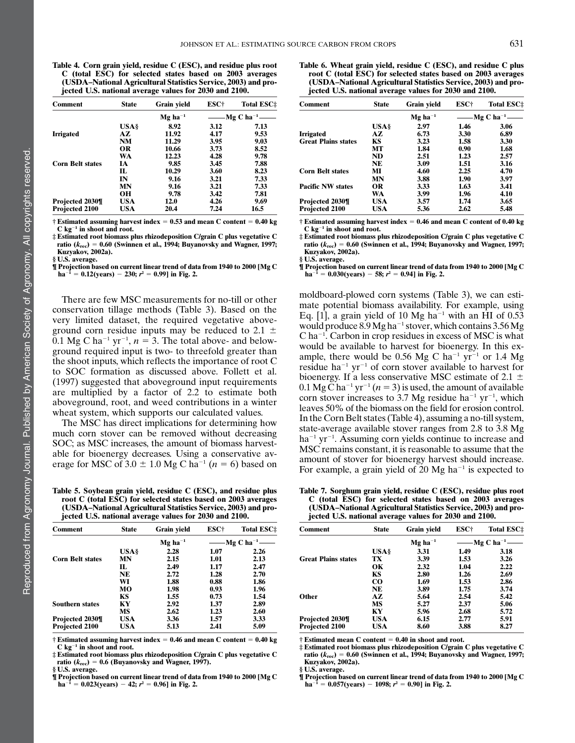Table 4. Corn grain yield, residue C (ESC), and residue plus root C (total ESC) for selected states based on 2003 averages (USDA–National Agricultural Statistics Service, 2003) and projected U.S. national average values for 2030 and 2100.

| Comment                 | <b>State</b> | Grain yield           | ESC† | <b>Total ESC</b> #        |
|-------------------------|--------------|-----------------------|------|---------------------------|
|                         |              | $Mg$ ha <sup>-1</sup> |      | — Mg C ha <sup>-1</sup> — |
|                         | <b>USA</b> § | 8.92                  | 3.12 | 7.13                      |
| <b>Irrigated</b>        | AZ.          | 11.92                 | 4.17 | 9.53                      |
|                         | NM           | 11.29                 | 3.95 | 9.03                      |
|                         | OR           | 10.66                 | 3.73 | 8.52                      |
|                         | <b>WA</b>    | 12.23                 | 4.28 | 9.78                      |
| <b>Corn Belt states</b> | ĪА           | 9.85                  | 3.45 | 7.88                      |
|                         | П.           | 10.29                 | 3.60 | 8.23                      |
|                         | IN           | 9.16                  | 3.21 | 7.33                      |
|                         | MN           | 9.16                  | 3.21 | 7.33                      |
|                         | OН           | 9.78                  | 3.42 | 7.81                      |
| Projected 2030¶         | <b>USA</b>   | 12.0                  | 4.26 | 9.69                      |
| Projected 2100          | USA          | 20.4                  | 7.24 | 16.5                      |

 $\dagger$  Estimated assuming harvest index = 0.53 and mean C content = 0.40 kg  $C$  kg<sup>-1</sup> in shoot and root.

‡ Estimated root biomass plus rhizodeposition C/grain C plus vegetative C ratio ( $k_{\text{rec}}$ ) = 0.60 (Swinnen et al., 1994; Buyanovsky and Wagner, 1997; Kuzyakov, 2002a). § U.S. average.

¶ Projection based on current linear trend of data from 1940 to 2000 [Mg C  $ha^{-1} = 0.12(years) - 230; r^2 = 0.99$ ] in Fig. 2.

There are few MSC measurements for no-till or other conservation tillage methods (Table 3). Based on the very limited dataset, the required vegetative aboveground corn residue inputs may be reduced to 2.1  $\pm$ 0.1 Mg C ha<sup>-1</sup> yr<sup>-1</sup>,  $n = 3$ . The total above- and belowground required input is two- to threefold greater than the shoot inputs, which reflects the importance of root C to SOC formation as discussed above. Follett et al. (1997) suggested that aboveground input requirements are multiplied by a factor of 2.2 to estimate both aboveground, root, and weed contributions in a winter wheat system, which supports our calculated values.

The MSC has direct implications for determining how much corn stover can be removed without decreasing SOC; as MSC increases, the amount of biomass harvestable for bioenergy decreases. Using a conservative average for MSC of 3.0  $\pm$  1.0 Mg C ha<sup>-1</sup> (n = 6) based on

Table 5. Soybean grain yield, residue C (ESC), and residue plus root C (total ESC) for selected states based on 2003 averages (USDA–National Agricultural Statistics Service, 2003) and projected U.S. national average values for 2030 and 2100.

| Comment                 | <b>State</b> | Grain yield           | ESC† | <b>Total ESC</b> :          |
|-------------------------|--------------|-----------------------|------|-----------------------------|
|                         |              | $Mg$ ha <sup>-1</sup> |      | —— Mg C ha <sup>-1</sup> —— |
|                         | <b>USA</b> § | 2.28                  | 1.07 | 2.26                        |
| <b>Corn Belt states</b> | MN           | 2.15                  | 1.01 | 2.13                        |
|                         | IL           | 2.49                  | 1.17 | 2.47                        |
|                         | NE           | 2.72                  | 1.28 | 2.70                        |
|                         | WI           | 1.88                  | 0.88 | 1.86                        |
|                         | MО           | 1.98                  | 0.93 | 1.96                        |
|                         | KS           | 1.55                  | 0.73 | 1.54                        |
| <b>Southern states</b>  | КY           | 2.92                  | 1.37 | 2.89                        |
|                         | MS           | 2.62                  | 1.23 | 2.60                        |
| Projected 2030¶         | USA          | 3.36                  | 1.57 | 3.33                        |
| Projected 2100          | USA          | 5.13                  | 2.41 | 5.09                        |

 $\dagger$  Estimated assuming harvest index = 0.46 and mean C content = 0.40 kg  $C$  kg<sup>-1</sup> in shoot and root.

 $\ddagger$  Estimated root biomass plus rhizodeposition C/grain C plus vegetative C ratio ( $k_{\text{rec}}$ ) = 0.6 (Buyanovsky and Wagner, 1997). § U.S. average.

¶ Projection based on current linear trend of data from 1940 to 2000 [Mg C  $ha^{-1} = 0.023(years) - 42; r^2 = 0.96$ ] in Fig. 2.

Table 6. Wheat grain yield, residue C (ESC), and residue C plus root C (total ESC) for selected states based on 2003 averages (USDA–National Agricultural Statistics Service, 2003) and projected U.S. national average values for 2030 and 2100.

| Comment                    | <b>State</b> | Grain yield           | ESC† | <b>Total ESC</b> :          |
|----------------------------|--------------|-----------------------|------|-----------------------------|
|                            |              | $Mg$ ha <sup>-1</sup> |      | —— Mg C ha <sup>-1</sup> —— |
|                            | <b>USA</b> § | 2.97                  | 1.46 | 3.06                        |
| Irrigated                  | AZ.          | 6.73                  | 3.30 | 6.89                        |
| <b>Great Plains states</b> | KS           | 3.23                  | 1.58 | 3.30                        |
|                            | MТ           | 1.84                  | 0.90 | 1.68                        |
|                            | ND           | 2.51                  | 1.23 | 2.57                        |
|                            | <b>NE</b>    | 3.09                  | 1.51 | 3.16                        |
| <b>Corn Belt states</b>    | МI           | 4.60                  | 2.25 | 4.70                        |
|                            | MN           | 3.88                  | 1.90 | 3.97                        |
| <b>Pacific NW states</b>   | <b>OR</b>    | 3.33                  | 1.63 | 3.41                        |
|                            | WA           | 3.99                  | 1.96 | 4.10                        |
| Projected 2030¶            | USA          | 3.57                  | 1.74 | 3.65                        |
| Projected 2100             | <b>USA</b>   | 5.36                  | 2.62 | 5.48                        |

 $\dagger$  Estimated assuming harvest index = 0.46 and mean C content of 0.40 kg  $C$  kg<sup>-1</sup> in shoot and root.

‡ Estimated root biomass plus rhizodeposition C/grain C plus vegetative C ratio ( $k_{\text{rec}}$ ) = 0.60 (Swinnen et al., 1994; Buyanovsky and Wagner, 1997; Kuzyakov, 2002a).

§ U.S. average.

¶ Projection based on current linear trend of data from 1940 to 2000 [Mg C  $ha^{-1} = 0.030(years) - 58; r^2 = 0.94$ ] in Fig. 2.

moldboard-plowed corn systems (Table 3), we can estimate potential biomass availability. For example, using Eq. [1], a grain yield of 10 Mg ha<sup>-1</sup> with an HI of  $0.53$ would produce  $8.9 \text{ Mg}$  ha<sup>-1</sup> stover, which contains  $3.56 \text{ Mg}$  $C$  ha<sup>-1</sup>. Carbon in crop residues in excess of MSC is what would be available to harvest for bioenergy. In this example, there would be 0.56 Mg C ha<sup>-1</sup> yr<sup>-1</sup> or 1.4 Mg residue ha<sup>-1</sup> yr<sup>-1</sup> of corn stover available to harvest for bioenergy. If a less conservative MSC estimate of 2.1  $\pm$ 0.1 Mg C ha<sup>-1</sup> yr<sup>-1</sup> (n = 3) is used, the amount of available corn stover increases to 3.7 Mg residue ha<sup>-1</sup> yr<sup>-1</sup>, which leaves 50% of the biomass on the field for erosion control. In the Corn Belt states (Table 4), assuming a no-till system, state-average available stover ranges from 2.8 to 3.8 Mg  $ha^{-1}$  yr<sup>-1</sup>. Assuming corn yields continue to increase and MSC remains constant, it is reasonable to assume that the amount of stover for bioenergy harvest should increase. For example, a grain yield of 20 Mg ha<sup> $-1$ </sup> is expected to

Table 7. Sorghum grain yield, residue C (ESC), residue plus root C (total ESC) for selected states based on 2003 averages (USDA–National Agricultural Statistics Service, 2003) and projected U.S. national average values for 2030 and 2100.

| Comment                    | <b>State</b> | Grain yield           | ESC†                       | <b>Total ESC</b> # |  |
|----------------------------|--------------|-----------------------|----------------------------|--------------------|--|
|                            |              | $Mg$ ha <sup>-1</sup> | ——Mg C ha <sup>-1</sup> —— |                    |  |
|                            | <b>USA§</b>  | 3.31                  | 1.49                       | 3.18               |  |
| <b>Great Plains states</b> | ТX           | 3.39                  | 1.53                       | 3.26               |  |
|                            | OК           | 2.32                  | 1.04                       | 2.22               |  |
|                            | KS           | 2.80                  | 1.26                       | 2.69               |  |
|                            | <b>CO</b>    | 1.69                  | 1.53                       | 2.86               |  |
|                            | <b>NE</b>    | 3.89                  | 1.75                       | 3.74               |  |
| <b>Other</b>               | AZ.          | 5.64                  | 2.54                       | 5.42               |  |
|                            | МS           | 5.27                  | 2.37                       | 5.06               |  |
|                            | KY           | 5.96                  | 2.68                       | 5.72               |  |
| Projected 2030¶            | USA          | 6.15                  | 2.77                       | 5.91               |  |
| <b>Projected 2100</b>      | USA          | 8.60                  | 3.88                       | 8.27               |  |

 $\dagger$  Estimated mean C content = 0.40 in shoot and root.

‡ Estimated root biomass plus rhizodeposition C/grain C plus vegetative C ratio (k<sub>rec</sub>) = 0.60 (Swinnen et al., 1994; Buyanovsky and Wagner, 1997;<br>Kuzyakov, 2002a).

§ U.S. average.

¶ Projection based on current linear trend of data from 1940 to 2000 [Mg C  $ha^{-1} = 0.057(years) - 1098; r^2 = 0.90$ ] in Fig. 2.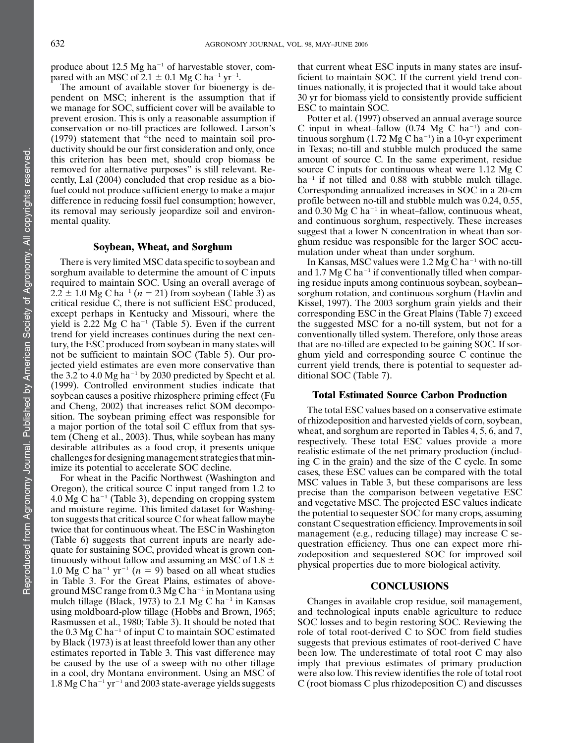produce about 12.5 Mg ha<sup> $-1$ </sup> of harvestable stover, compared with an MSC of  $2.1 \pm 0.1$  Mg C ha<sup>-1</sup> yr<sup>-1</sup>.

The amount of available stover for bioenergy is dependent on MSC; inherent is the assumption that if we manage for SOC, sufficient cover will be available to prevent erosion. This is only a reasonable assumption if conservation or no-till practices are followed. Larson's (1979) statement that "the need to maintain soil productivity should be our first consideration and only, once this criterion has been met, should crop biomass be removed for alternative purposes" is still relevant. Recently, Lal (2004) concluded that crop residue as a biofuel could not produce sufficient energy to make a major difference in reducing fossil fuel consumption; however, its removal may seriously jeopardize soil and environmental quality.

# Soybean, Wheat, and Sorghum

There is very limited MSC data specific to soybean and sorghum available to determine the amount of C inputs required to maintain SOC. Using an overall average of  $2.2 \pm 1.0$  Mg C ha<sup>-1</sup> (n = 21) from soybean (Table 3) as critical residue C, there is not sufficient ESC produced, except perhaps in Kentucky and Missouri, where the yield is 2.22 Mg C ha<sup>-1</sup> (Table 5). Even if the current trend for yield increases continues during the next century, the ESC produced from soybean in many states will not be sufficient to maintain SOC (Table 5). Our projected yield estimates are even more conservative than the 3.2 to 4.0 Mg ha<sup> $-1$ </sup> by 2030 predicted by Specht et al. (1999). Controlled environment studies indicate that soybean causes a positive rhizosphere priming effect (Fu and Cheng, 2002) that increases relict SOM decomposition. The soybean priming effect was responsible for a major portion of the total soil C efflux from that system (Cheng et al., 2003). Thus, while soybean has many desirable attributes as a food crop, it presents unique challenges for designing management strategies that minimize its potential to accelerate SOC decline.

For wheat in the Pacific Northwest (Washington and Oregon), the critical source C input ranged from 1.2 to 4.0 Mg C ha<sup>-1</sup> (Table 3), depending on cropping system and moisture regime. This limited dataset for Washington suggests that critical source C for wheat fallow maybe twice that for continuous wheat. The ESC in Washington (Table 6) suggests that current inputs are nearly adequate for sustaining SOC, provided wheat is grown continuously without fallow and assuming an MSC of 1.8  $\pm$ 1.0 Mg C ha<sup>-1</sup> yr<sup>-1</sup> ( $n = 9$ ) based on all wheat studies in Table 3. For the Great Plains, estimates of aboveground MSC range from  $0.3 \text{ Mg C}$  ha<sup>-1</sup> in Montana using mulch tillage (Black, 1973) to 2.1 Mg C ha<sup>-1</sup> in Kansas using moldboard-plow tillage (Hobbs and Brown, 1965; Rasmussen et al., 1980; Table 3). It should be noted that the  $0.3$  Mg C ha<sup>-1</sup> of input C to maintain SOC estimated by Black (1973) is at least threefold lower than any other estimates reported in Table 3. This vast difference may be caused by the use of a sweep with no other tillage in a cool, dry Montana environment. Using an MSC of  $1.8$  Mg C ha<sup>-1</sup> yr<sup>-1</sup> and 2003 state-average yields suggests

that current wheat ESC inputs in many states are insufficient to maintain SOC. If the current yield trend continues nationally, it is projected that it would take about 30 yr for biomass yield to consistently provide sufficient ESC to maintain SOC.

Potter et al. (1997) observed an annual average source C input in wheat-fallow  $(0.74 \text{ Mg C ha}^{-1})$  and continuous sorghum  $(1.72 \text{ Mg C ha}^{-1})$  in a 10-yr experiment in Texas; no-till and stubble mulch produced the same amount of source C. In the same experiment, residue source C inputs for continuous wheat were 1.12 Mg C  $ha^{-1}$  if not tilled and 0.88 with stubble mulch tillage. Corresponding annualized increases in SOC in a 20-cm profile between no-till and stubble mulch was 0.24, 0.55, and 0.30 Mg C ha<sup>-1</sup> in wheat-fallow, continuous wheat, and continuous sorghum, respectively. These increases suggest that a lower N concentration in wheat than sorghum residue was responsible for the larger SOC accumulation under wheat than under sorghum.

In Kansas, MSC values were  $1.2$  Mg C ha<sup>-1</sup> with no-till and 1.7 Mg C ha<sup> $-1$ </sup> if conventionally tilled when comparing residue inputs among continuous soybean, soybean– sorghum rotation, and continuous sorghum (Havlin and Kissel, 1997). The 2003 sorghum grain yields and their corresponding ESC in the Great Plains (Table 7) exceed the suggested MSC for a no-till system, but not for a conventionally tilled system. Therefore, only those areas that are no-tilled are expected to be gaining SOC. If sorghum yield and corresponding source C continue the current yield trends, there is potential to sequester additional SOC (Table 7).

# Total Estimated Source Carbon Production

The total ESC values based on a conservative estimate of rhizodeposition and harvested yields of corn, soybean, wheat, and sorghum are reported in Tables 4, 5, 6, and 7, respectively. These total ESC values provide a more realistic estimate of the net primary production (including C in the grain) and the size of the C cycle. In some cases, these ESC values can be compared with the total MSC values in Table 3, but these comparisons are less precise than the comparison between vegetative ESC and vegetative MSC. The projected ESC values indicate the potential to sequester SOC for many crops, assuming constant C sequestration efficiency. Improvements in soil management (e.g., reducing tillage) may increase C sequestration efficiency. Thus one can expect more rhizodeposition and sequestered SOC for improved soil physical properties due to more biological activity.

#### **CONCLUSIONS**

Changes in available crop residue, soil management, and technological inputs enable agriculture to reduce SOC losses and to begin restoring SOC. Reviewing the role of total root-derived C to SOC from field studies suggests that previous estimates of root-derived C have been low. The underestimate of total root C may also imply that previous estimates of primary production were also low. This review identifies the role of total root C (root biomass C plus rhizodeposition C) and discusses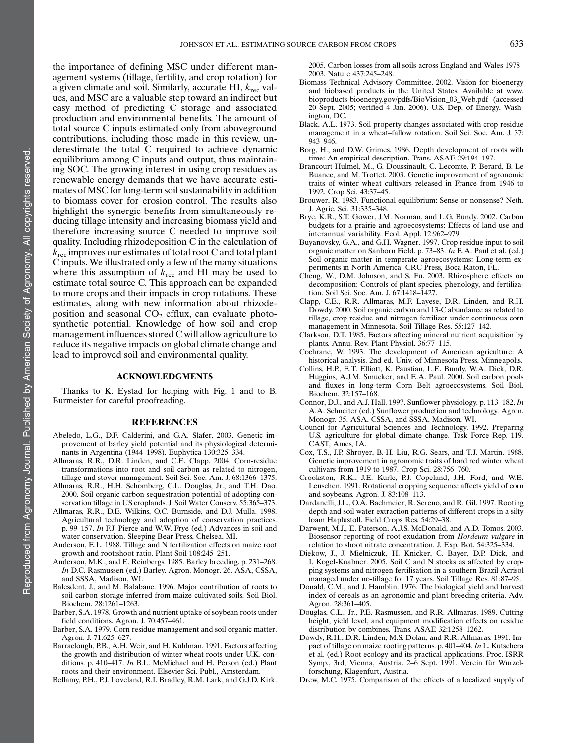the importance of defining MSC under different management systems (tillage, fertility, and crop rotation) for a given climate and soil. Similarly, accurate HI,  $k_{\text{rec}}$  values, and MSC are a valuable step toward an indirect but easy method of predicting C storage and associated production and environmental benefits. The amount of total source C inputs estimated only from aboveground contributions, including those made in this review, underestimate the total C required to achieve dynamic equilibrium among C inputs and output, thus maintaining SOC. The growing interest in using crop residues as renewable energy demands that we have accurate estimates of MSC for long-term soil sustainability in addition to biomass cover for erosion control. The results also highlight the synergic benefits from simultaneously reducing tillage intensity and increasing biomass yield and therefore increasing source C needed to improve soil quality. Including rhizodeposition C in the calculation of  $k_{\text{rec}}$  improves our estimates of total root C and total plant C inputs. We illustrated only a few of the many situations where this assumption of  $k_{\text{rec}}$  and HI may be used to estimate total source C. This approach can be expanded to more crops and their impacts in crop rotations. These estimates, along with new information about rhizodeposition and seasonal  $CO<sub>2</sub>$  efflux, can evaluate photosynthetic potential. Knowledge of how soil and crop management influences stored C will allow agriculture to reduce its negative impacts on global climate change and lead to improved soil and environmental quality.

### ACKNOWLEDGMENTS

Thanks to K. Eystad for helping with Fig. 1 and to B. Burmeister for careful proofreading.

#### **REFERENCES**

- Abeledo, L.G., D.F. Calderini, and G.A. Slafer. 2003. Genetic improvement of barley yield potential and its physiological determinants in Argentina (1944–1998). Euphytica 130:325–334.
- Allmaras, R.R., D.R. Linden, and C.E. Clapp. 2004. Corn-residue transformations into root and soil carbon as related to nitrogen, tillage and stover management. Soil Sci. Soc. Am. J. 68:1366–1375.
- Allmaras, R.R., H.H. Schomberg, C.L. Douglas, Jr., and T.H. Dao. 2000. Soil organic carbon sequestration potential of adopting conservation tillage in US croplands. J. Soil Water Conserv. 55:365–373.
- Allmaras, R.R., D.E. Wilkins, O.C. Burnside, and D.J. Mulla. 1998. Agricultural technology and adoption of conservation practices. p. 99–157. In F.J. Pierce and W.W. Frye (ed.) Advances in soil and water conservation. Sleeping Bear Press, Chelsea, MI.
- Anderson, E.L. 1988. Tillage and N fertilization effects on maize root growth and root:shoot ratio. Plant Soil 108:245–251.
- Anderson, M.K., and E. Reinbergs. 1985. Barley breeding. p. 231–268. In D.C. Rasmussen (ed.) Barley. Agron. Monogr. 26. ASA, CSSA, and SSSA, Madison, WI.
- Balesdent, J., and M. Balabane. 1996. Major contribution of roots to soil carbon storage inferred from maize cultivated soils. Soil Biol. Biochem. 28:1261–1263.
- Barber, S.A. 1978. Growth and nutrient uptake of soybean roots under field conditions. Agron. J. 70:457–461.
- Barber, S.A. 1979. Corn residue management and soil organic matter. Agron. J. 71:625–627.
- Barraclough, P.B., A.H. Weir, and H. Kuhlman. 1991. Factors affecting the growth and distribution of winter wheat roots under U.K. conditions. p. 410–417. In B.L. McMichael and H. Person (ed.) Plant roots and their environment. Elsevier Sci. Publ., Amsterdam.

Bellamy, P.H., P.J. Loveland, R.I. Bradley, R.M. Lark, and G.J.D. Kirk.

2005. Carbon losses from all soils across England and Wales 1978– 2003. Nature 437:245–248.

- Biomass Technical Advisory Committee. 2002. Vision for bioenergy and biobased products in the United States. Available at www. bioproducts-bioenergy.gov/pdfs/BioVision\_03\_Web.pdf (accessed 20 Sept. 2005; verified 4 Jan. 2006). U.S. Dep. of Energy, Washington, DC.
- Black, A.L. 1973. Soil property changes associated with crop residue management in a wheat–fallow rotation. Soil Sci. Soc. Am. J. 37: 943–946.
- Borg, H., and D.W. Grimes. 1986. Depth development of roots with time: An empirical description. Trans. ASAE 29:194–197.
- Brancourt-Hulmel, M., G. Doussinault, C. Lecomte, P. Berard, B. Le Buanec, and M. Trottet. 2003. Genetic improvement of agronomic traits of winter wheat cultivars released in France from 1946 to 1992. Crop Sci. 43:37–45.
- Brouwer, R. 1983. Functional equilibrium: Sense or nonsense? Neth. J. Agric. Sci. 31:335–348.
- Brye, K.R., S.T. Gower, J.M. Norman, and L.G. Bundy. 2002. Carbon budgets for a prairie and agroecosystems: Effects of land use and interannual variability. Ecol. Appl. 12:962–979.
- Buyanovsky, G.A., and G.H. Wagner. 1997. Crop residue input to soil organic matter on Sanborn Field. p. 73–83. In E.A. Paul et al. (ed.) Soil organic matter in temperate agroecosystems: Long-term experiments in North America. CRC Press, Boca Raton, FL.
- Cheng, W., D.M. Johnson, and S. Fu. 2003. Rhizosphere effects on decomposition: Controls of plant species, phenology, and fertilization. Soil Sci. Soc. Am. J. 67:1418–1427.
- Clapp, C.E., R.R. Allmaras, M.F. Layese, D.R. Linden, and R.H. Dowdy. 2000. Soil organic carbon and 13-C abundance as related to tillage, crop residue and nitrogen fertilizer under continuous corn management in Minnesota. Soil Tillage Res. 55:127–142.
- Clarkson, D.T. 1985. Factors affecting mineral nutrient acquisition by plants. Annu. Rev. Plant Physiol. 36:77–115.
- Cochrane, W. 1993. The development of American agriculture: A historical analysis. 2nd ed. Univ. of Minnesota Press, Minneapolis.
- Collins, H.P., E.T. Elliott, K. Paustian, L.E. Bundy, W.A. Dick, D.R. Huggins, A.J.M. Smucker, and E.A. Paul. 2000. Soil carbon pools and fluxes in long-term Corn Belt agroecosystems. Soil Biol. Biochem. 32:157–168.
- Connor, D.J., and A.J. Hall. 1997. Sunflower physiology. p. 113–182. In A.A. Schneiter (ed.) Sunflower production and technology. Agron. Monogr. 35. ASA, CSSA, and SSSA, Madison, WI.
- Council for Agricultural Sciences and Technology. 1992. Preparing U.S. agriculture for global climate change. Task Force Rep. 119. CAST, Ames, IA.
- Cox, T.S., J.P. Shroyer, B.-H. Liu, R.G. Sears, and T.J. Martin. 1988. Genetic improvement in agronomic traits of hard red winter wheat cultivars from 1919 to 1987. Crop Sci. 28:756–760.
- Crookston, R.K., J.E. Kurle, P.J. Copeland, J.H. Ford, and W.E. Leuschen. 1991. Rotational cropping sequence affects yield of corn and soybeans. Agron. J. 83:108–113.
- Dardanelli, J.L., O.A. Bachmeier, R. Sereno, and R. Gil. 1997. Rooting depth and soil water extraction patterns of different crops in a silty loam Haplustoll. Field Crops Res. 54:29–38.
- Darwent, M.J., E. Paterson, A.J.S. McDonald, and A.D. Tomos. 2003. Biosensor reporting of root exudation from Hordeum vulgare in relation to shoot nitrate concentration. J. Exp. Bot. 54:325–334.
- Diekow, J., J. Mielniczuk, H. Knicker, C. Bayer, D.P. Dick, and I. Kogel-Knabner. 2005. Soil C and N stocks as affected by cropping systems and nitrogen fertilisation in a southern Brazil Acrisol managed under no-tillage for 17 years. Soil Tillage Res. 81:87–95.
- Donald, C.M., and J. Hamblin. 1976. The biological yield and harvest index of cereals as an agronomic and plant breeding criteria. Adv. Agron. 28:361–405.
- Douglas, C.L., Jr., P.E. Rasmussen, and R.R. Allmaras. 1989. Cutting height, yield level, and equipment modification effects on residue distribution by combines. Trans. ASAE 32:1258–1262.
- Dowdy, R.H., D.R. Linden, M.S. Dolan, and R.R. Allmaras. 1991. Impact of tillage on maize rooting patterns. p. 401–404. In L. Kutschera et al. (ed.) Root ecology and its practical applications. Proc. ISRR Symp., 3rd, Vienna, Austria. 2-6 Sept. 1991. Verein für Wurzelforschung, Klagenfurt, Austria.
- Drew, M.C. 1975. Comparison of the effects of a localized supply of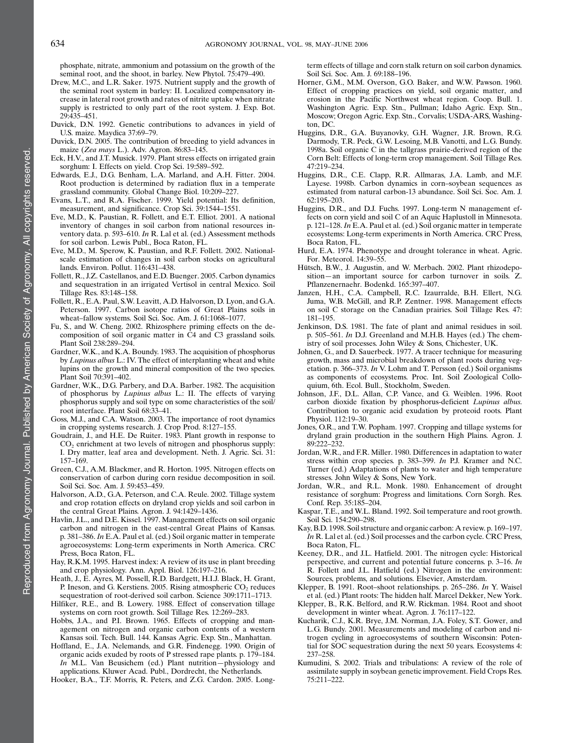phosphate, nitrate, ammonium and potassium on the growth of the seminal root, and the shoot, in barley. New Phytol. 75:479–490.

- Drew, M.C., and L.R. Saker. 1975. Nutrient supply and the growth of the seminal root system in barley: II. Localized compensatory increase in lateral root growth and rates of nitrite uptake when nitrate supply is restricted to only part of the root system. J. Exp. Bot. 29:435–451.
- Duvick, D.N. 1992. Genetic contributions to advances in yield of U.S. maize. Maydica 37:69–79.
- Duvick, D.N. 2005. The contribution of breeding to yield advances in maize (Zea mays L.). Adv. Agron. 86:83–145.
- Eck, H.V., and J.T. Musick. 1979. Plant stress effects on irrigated grain sorghum: I. Effects on yield. Crop Sci. 19:589–592.
- Edwards, E.J., D.G. Benham, L.A. Marland, and A.H. Fitter. 2004. Root production is determined by radiation flux in a temperate grassland community. Global Change Biol. 10:209–227.
- Evans, L.T., and R.A. Fischer. 1999. Yield potential: Its definition, measurement, and significance. Crop Sci. 39:1544–1551.
- Eve, M.D., K. Paustian, R. Follett, and E.T. Elliot. 2001. A national inventory of changes in soil carbon from national resources inventory data. p. 593–610. In R. Lal et al. (ed.) Assessment methods for soil carbon. Lewis Publ., Boca Raton, FL.
- Eve, M.D., M. Sperow, K. Paustian, and R.F. Follett. 2002. Nationalscale estimation of changes in soil carbon stocks on agricultural lands. Environ. Pollut. 116:431–438.
- Follett, R., J.Z. Castellanos, and E.D. Buenger. 2005. Carbon dynamics and sequestration in an irrigated Vertisol in central Mexico. Soil Tillage Res. 83:148–158.
- Follett, R., E.A. Paul, S.W. Leavitt, A.D. Halvorson, D. Lyon, and G.A. Peterson. 1997. Carbon isotope ratios of Great Plains soils in wheat–fallow systems. Soil Sci. Soc. Am. J. 61:1068–1077.
- Fu, S., and W. Cheng. 2002. Rhizosphere priming effects on the decomposition of soil organic matter in C4 and C3 grassland soils. Plant Soil 238:289–294.
- Gardner, W.K., and K.A. Boundy. 1983. The acquisition of phosphorus by Lupinus albus L.: IV. The effect of interplanting wheat and white lupins on the growth and mineral composition of the two species. Plant Soil 70:391–402.
- Gardner, W.K., D.G. Parbery, and D.A. Barber. 1982. The acquisition of phosphorus by Lupinus albus L.: II. The effects of varying phosphorus supply and soil type on some characteristics of the soil/ root interface. Plant Soil 68:33–41.
- Goss, M.J., and C.A. Watson. 2003. The importance of root dynamics in cropping systems research. J. Crop Prod. 8:127–155.
- Goudrain, J., and H.E. De Ruiter. 1983. Plant growth in response to CO2 enrichment at two levels of nitrogen and phosphorus supply: I. Dry matter, leaf area and development. Neth. J. Agric. Sci. 31: 157–169.
- Green, C.J., A.M. Blackmer, and R. Horton. 1995. Nitrogen effects on conservation of carbon during corn residue decomposition in soil. Soil Sci. Soc. Am. J. 59:453–459.
- Halvorson, A.D., G.A. Peterson, and C.A. Reule. 2002. Tillage system and crop rotation effects on dryland crop yields and soil carbon in the central Great Plains. Agron. J. 94:1429–1436.
- Havlin, J.L., and D.E. Kissel. 1997. Management effects on soil organic carbon and nitrogen in the east-central Great Plains of Kansas. p. 381–386. In E.A. Paul et al. (ed.) Soil organic matter in temperate agroecosystems: Long-term experiments in North America. CRC Press, Boca Raton, FL.
- Hay, R.K.M. 1995. Harvest index: A review of its use in plant breeding and crop physiology. Ann. Appl. Biol. 126:197–216.
- Heath, J., E. Ayres, M. Possell, R.D. Bardgett, H.I.J. Black, H. Grant, P. Ineson, and G. Kerstiens. 2005. Rising atmospheric CO<sub>2</sub> reduces sequestration of root-derived soil carbon. Science 309:1711–1713.
- Hilfiker, R.E., and B. Lowery. 1988. Effect of conservation tillage systems on corn root growth. Soil Tillage Res. 12:269–283.
- Hobbs, J.A., and P.I. Brown. 1965. Effects of cropping and management on nitrogen and organic carbon contents of a western Kansas soil. Tech. Bull. 144. Kansas Agric. Exp. Stn., Manhattan.
- Hoffland, E., J.A. Nelemands, and G.R. Findenegg. 1990. Origin of organic acids exuded by roots of P stressed rape plants. p. 179–184. In M.L. Van Beusichem (ed.) Plant nutrition—physiology and applications. Kluwer Acad. Publ., Dordrecht, the Netherlands.

Hooker, B.A., T.F. Morris, R. Peters, and Z.G. Cardon. 2005. Long-

term effects of tillage and corn stalk return on soil carbon dynamics. Soil Sci. Soc. Am. J. 69:188–196.

- Horner, G.M., M.M. Overson, G.O. Baker, and W.W. Pawson. 1960. Effect of cropping practices on yield, soil organic matter, and erosion in the Pacific Northwest wheat region. Coop. Bull. 1. Washington Agric. Exp. Stn., Pullman; Idaho Agric. Exp. Stn., Moscow; Oregon Agric. Exp. Stn., Corvalis; USDA-ARS, Washington, DC.
- Huggins, D.R., G.A. Buyanovky, G.H. Wagner, J.R. Brown, R.G. Darmody, T.R. Peck, G.W. Lesoing, M.B. Vanotti, and L.G. Bundy. 1998a. Soil organic C in the tallgrass prairie-derived region of the Corn Belt: Effects of long-term crop management. Soil Tillage Res. 47:219–234.
- Huggins, D.R., C.E. Clapp, R.R. Allmaras, J.A. Lamb, and M.F. Layese. 1998b. Carbon dynamics in corn–soybean sequences as estimated from natural carbon-13 abundance. Soil Sci. Soc. Am. J. 62:195–203.
- Huggins, D.R., and D.J. Fuchs. 1997. Long-term N management effects on corn yield and soil C of an Aquic Haplustoll in Minnesota. p. 121–128. In E.A. Paul et al. (ed.) Soil organic matter in temperate ecosystems: Long-term experiments in North America. CRC Press, Boca Raton, FL.
- Hurd, E.A. 1974. Phenotype and drought tolerance in wheat. Agric. For. Meteorol. 14:39–55.
- Hütsch, B.W., J. Augustin, and W. Merbach. 2002. Plant rhizodeposition—an important source for carbon turnover in soils. Z. Pflanzenernaehr. Bodenkd. 165:397–407.
- Janzen, H.H., C.A. Campbell, R.C. Izaurralde, B.H. Ellert, N.G. Juma, W.B. McGill, and R.P. Zentner. 1998. Management effects on soil C storage on the Canadian prairies. Soil Tillage Res. 47: 181–195.
- Jenkinson, D.S. 1981. The fate of plant and animal residues in soil. p. 505–561. In D.J. Greenland and M.H.B. Hayes (ed.) The chemistry of soil processes. John Wiley & Sons, Chichester, UK.
- Johnen, G., and D. Sauerbeck. 1977. A tracer technique for measuring growth, mass and microbial breakdown of plant roots during vegetation. p. 366–373. In V. Lohm and T. Persson (ed.) Soil organisms as components of ecosystems. Proc. Int. Soil Zoological Colloquium, 6th. Ecol. Bull., Stockholm, Sweden.
- Johnson, J.F., D.L. Allan, C.P. Vance, and G. Weiblen. 1996. Root carbon dioxide fixation by phosphorus-deficient Lupinus albus. Contribution to organic acid exudation by proteoid roots. Plant Physiol. 112:19–30.
- Jones, O.R., and T.W. Popham. 1997. Cropping and tillage systems for dryland grain production in the southern High Plains. Agron. J. 89:222–232.
- Jordan, W.R., and F.R. Miller. 1980. Differences in adaptation to water stress within crop species. p. 383-399. In P.J. Kramer and N.C. Turner (ed.) Adaptations of plants to water and high temperature stresses. John Wiley & Sons, New York.
- Jordan, W.R., and R.L. Monk. 1980. Enhancement of drought resistance of sorghum: Progress and limitations. Corn Sorgh. Res. Conf. Rep. 35:185–204.
- Kaspar, T.E., and W.L. Bland. 1992. Soil temperature and root growth. Soil Sci. 154:290–298.
- Kay, B.D. 1998. Soil structure and organic carbon: A review. p. 169–197. In R. Lal et al. (ed.) Soil processes and the carbon cycle. CRC Press, Boca Raton, FL.
- Keeney, D.R., and J.L. Hatfield. 2001. The nitrogen cycle: Historical perspective, and current and potential future concerns. p. 3–16. In R. Follett and J.L. Hatfield (ed.) Nitrogen in the environment: Sources, problems, and solutions. Elsevier, Amsterdam.
- Klepper, B. 1991. Root–shoot relationships. p. 265–286. In Y. Waisel et al. (ed.) Plant roots: The hidden half. Marcel Dekker, New York.
- Klepper, B., R.K. Belford, and R.W. Rickman. 1984. Root and shoot development in winter wheat. Agron. J. 76:117–122.
- Kucharik, C.J., K.R. Brye, J.M. Norman, J.A. Foley, S.T. Gower, and L.G. Bundy. 2001. Measurements and modeling of carbon and nitrogen cycling in agroecosystems of southern Wisconsin: Potential for SOC sequestration during the next 50 years. Ecosystems 4: 237–258.
- Kumudini, S. 2002. Trials and tribulations: A review of the role of assimilate supply in soybean genetic improvement. Field Crops Res. 75:211–222.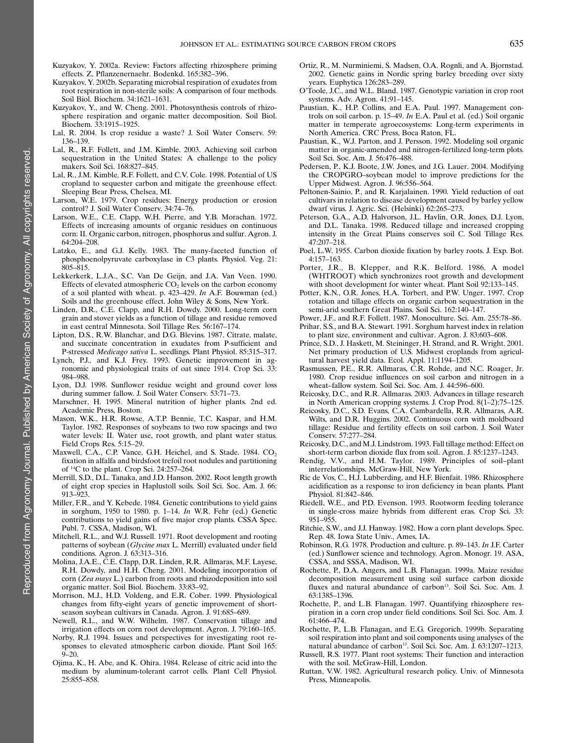- Kuzyakov, Y. 2002a. Review: Factors affecting rhizosphere priming effects. Z. Pflanzenernaehr. Bodenkd. 165:382–396.
- Kuzyakov, Y. 2002b. Separating microbial respiration of exudates from root respiration in non-sterile soils: A comparison of four methods. Soil Biol. Biochem. 34:1621–1631.
- Kuzyakov, Y., and W. Cheng. 2001. Photosynthesis controls of rhizosphere respiration and organic matter decomposition. Soil Biol. Biochem. 33:1915–1925.
- Lal, R. 2004. Is crop residue a waste? J. Soil Water Conserv. 59: 136–139.
- Lal, R., R.F. Follett, and J.M. Kimble. 2003. Achieving soil carbon sequestration in the United States: A challenge to the policy makers. Soil Sci. 168:827–845.
- Lal, R., J.M. Kimble, R.F. Follett, and C.V. Cole. 1998. Potential of US cropland to sequester carbon and mitigate the greenhouse effect. Sleeping Bear Press, Chelsea, MI.
- Larson, W.E. 1979. Crop residues: Energy production or erosion control? J. Soil Water Conserv. 34:74–76.
- Larson, W.E., C.E. Clapp, W.H. Pierre, and Y.B. Morachan. 1972. Effects of increasing amounts of organic residues on continuous corn: II. Organic carbon, nitrogen, phosphorus and sulfur. Agron. J. 64:204–208.
- Latzko, E., and G.J. Kelly. 1983. The many-faceted function of phosphoenolpyruvate carboxylase in C3 plants. Physiol. Veg. 21: 805–815.
- Lekkerkerk, L.J.A., S.C. Van De Geijn, and J.A. Van Veen. 1990. Effects of elevated atmospheric  $CO<sub>2</sub>$  levels on the carbon economy of a soil planted with wheat. p. 423–429. In A.F. Bouwman (ed.) Soils and the greenhouse effect. John Wiley & Sons, New York.
- Linden, D.R., C.E. Clapp, and R.H. Dowdy. 2000. Long-term corn grain and stover yields as a function of tillage and residue removed in east central Minnesota. Soil Tillage Res. 56:167–174.
- Lipton, D.S., R.W. Blanchar, and D.G. Blevins. 1987. Citrate, malate, and succinate concentration in exudates from P-sufficient and P-stressed Medicago sativa L. seedlings. Plant Physiol. 85:315–317.
- Lynch, P.J., and K.J. Frey. 1993. Genetic improvement in agronomic and physiological traits of oat since 1914. Crop Sci. 33: 984–988.
- Lyon, D.J. 1998. Sunflower residue weight and ground cover loss during summer fallow. J. Soil Water Conserv. 53:71–73.
- Marschner, H. 1995. Mineral nutrition of higher plants. 2nd ed. Academic Press, Boston.
- Mason, W.K., H.R. Rowse, A.T.P. Bennie, T.C. Kaspar, and H.M. Taylor. 1982. Responses of soybeans to two row spacings and two water levels: II. Water use, root growth, and plant water status. Field Crops Res. 5:15–29.
- Maxwell, C.A., C.P. Vance, G.H. Heichel, and S. Stade. 1984. CO<sub>2</sub> fixation in alfalfa and birdsfoot trefoil root nodules and partitioning of 14C to the plant. Crop Sci. 24:257–264.
- Merrill, S.D., D.L. Tanaka, and J.D. Hanson. 2002. Root length growth of eight crop species in Haplustoll soils. Soil Sci. Soc. Am. J. 66: 913–923.
- Miller, F.R., and Y. Kebede. 1984. Genetic contributions to yield gains in sorghum, 1950 to 1980. p. 1–14. In W.R. Fehr (ed.) Genetic contributions to yield gains of five major crop plants. CSSA Spec. Publ. 7. CSSA, Madison, WI.
- Mitchell, R.L., and W.J. Russell. 1971. Root development and rooting patterns of soybean (Glycine max L. Merrill) evaluated under field conditions. Agron. J. 63:313–316.
- Molina, J.A.E., C.E. Clapp, D.R. Linden, R.R. Allmaras, M.F. Layese, R.H. Dowdy, and H.H. Cheng. 2001. Modeling incorporation of corn (Zea mays L.) carbon from roots and rhizodeposition into soil organic matter. Soil Biol. Biochem. 33:83–92.
- Morrison, M.J., H.D. Voldeng, and E.R. Cober. 1999. Physiological changes from fifty-eight years of genetic improvement of shortseason soybean cultivars in Canada. Agron. J. 91:685–689.
- Newell, R.L., and W.W. Wilhelm. 1987. Conservation tillage and irrigation effects on corn root development. Agron. J. 79:160–165.
- Norby, R.J. 1994. Issues and perspectives for investigating root responses to elevated atmospheric carbon dioxide. Plant Soil 165:  $9 - 20.$
- Ojima, K., H. Abe, and K. Ohira. 1984. Release of citric acid into the medium by aluminum-tolerant carrot cells. Plant Cell Physiol. 25:855–858.
- Ortiz, R., M. Nurminiemi, S. Madsen, O.A. Rognli, and A. Bjornstad. 2002. Genetic gains in Nordic spring barley breeding over sixty years. Euphytica 126:283–289.
- O'Toole, J.C., and W.L. Bland. 1987. Genotypic variation in crop root systems. Adv. Agron. 41:91–145.
- Paustian, K., H.P. Collins, and E.A. Paul. 1997. Management controls on soil carbon. p. 15–49. In E.A. Paul et al. (ed.) Soil organic matter in temperate agroecosystems: Long-term experiments in North America. CRC Press, Boca Raton, FL.
- Paustian, K., W.J. Parton, and J. Persson. 1992. Modeling soil organic matter in organic-amended and nitrogen-fertilized long-term plots. Soil Sci. Soc. Am. J. 56:476–488.
- Pedersen, P., K.J. Boote, J.W. Jones, and J.G. Lauer. 2004. Modifying the CROPGRO–soybean model to improve predictions for the Upper Midwest. Agron. J. 96:556–564.
- Peltonen-Sainio, P., and R. Karjalainen. 1990. Yield reduction of oat cultivars in relation to disease development caused by barley yellow dwarf virus. J. Agric. Sci. (Helsinki) 62:265–273.
- Peterson, G.A., A.D. Halvorson, J.L. Havlin, O.R. Jones, D.J. Lyon, and D.L. Tanaka. 1998. Reduced tillage and increased cropping intensity in the Great Plains conserves soil C. Soil Tillage Res. 47:207–218.
- Poel, L.W. 1955. Carbon dioxide fixation by barley roots. J. Exp. Bot. 4:157–163.
- Porter, J.R., B. Klepper, and R.K. Belford. 1986. A model (WHTROOT) which synchronizes root growth and development with shoot development for winter wheat. Plant Soil 92:133–145.
- Potter, K.N., O.R. Jones, H.A. Torbert, and P.W. Unger. 1997. Crop rotation and tillage effects on organic carbon sequestration in the semi-arid southern Great Plains. Soil Sci. 162:140–147.
- Power, J.F., and R.F. Follett. 1987. Monoculture. Sci. Am. 255:78–86.
- Prihar, S.S., and B.A. Stewart. 1991. Sorghum harvest index in relation to plant size, environment and cultivar. Agron. J. 83:603–608.
- Prince, S.D., J. Haskett, M. Steininger, H. Strand, and R. Wright. 2001. Net primary production of U.S. Midwest croplands from agricultural harvest yield data. Ecol. Appl. 11:1194–1205.
- Rasmussen, P.E., R.R. Allmaras, C.R. Rohde, and N.C. Roager, Jr. 1980. Crop residue influences on soil carbon and nitrogen in a wheat–fallow system. Soil Sci. Soc. Am. J. 44:596–600.
- Reicosky, D.C., and R.R. Allmaras. 2003. Advances in tillage research in North American cropping systems. J. Crop Prod. 8(1–2):75–125.
- Reicosky, D.C., S.D. Evans, C.A. Cambardella, R.R. Allmaras, A.R. Wilts, and D.R. Huggins. 2002. Continuous corn with moldboard tillage: Residue and fertility effects on soil carbon. J. Soil Water Conserv. 57:277–284.
- Reicosky, D.C., and M.J. Lindstrom. 1993. Fall tillage method: Effect on short-term carbon dioxide flux from soil. Agron. J. 85:1237–1243.
- Rendig, V.V., and H.M. Taylor. 1989. Principles of soil–plant interrelationships. McGraw-Hill, New York.
- Ric de Vos, C., H.J. Lubberding, and H.F. Bienfait. 1986. Rhizosphere acidification as a response to iron deficiency in bean plants. Plant Physiol. 81:842–846.
- Riedell, W.E., and P.D. Evenson. 1993. Rootworm feeding tolerance in single-cross maize hybrids from different eras. Crop Sci. 33: 951–955.
- Ritchie, S.W., and J.J. Hanway. 1982. How a corn plant develops. Spec. Rep. 48. Iowa State Univ., Ames, IA.
- Robinson, R.G. 1978. Production and culture. p. 89–143. In J.F. Carter (ed.) Sunflower science and technology. Agron. Monogr. 19. ASA, CSSA, and SSSA, Madison, WI.
- Rochette, P., D.A. Angers, and L.B. Flanagan. 1999a. Maize residue decomposition measurement using soil surface carbon dioxide fluxes and natural abundance of carbon<sup>13</sup>. Soil Sci. Soc. Am. J. 63:1385–1396.
- Rochette, P., and L.B. Flanagan. 1997. Quantifying rhizosphere respiration in a corn crop under field conditions. Soil Sci. Soc. Am. J. 61:466–474.
- Rochette, P., L.B. Flanagan, and E.G. Gregorich. 1999b. Separating soil respiration into plant and soil components using analyses of the natural abundance of carbon<sup>13</sup>. Soil Sci. Soc. Am. J. 63:1207-1213.
- Russell, R.S. 1977. Plant root systems: Their function and interaction with the soil. McGraw-Hill, London.
- Ruttan, V.W. 1982. Agricultural research policy. Univ. of Minnesota Press, Minneapolis.